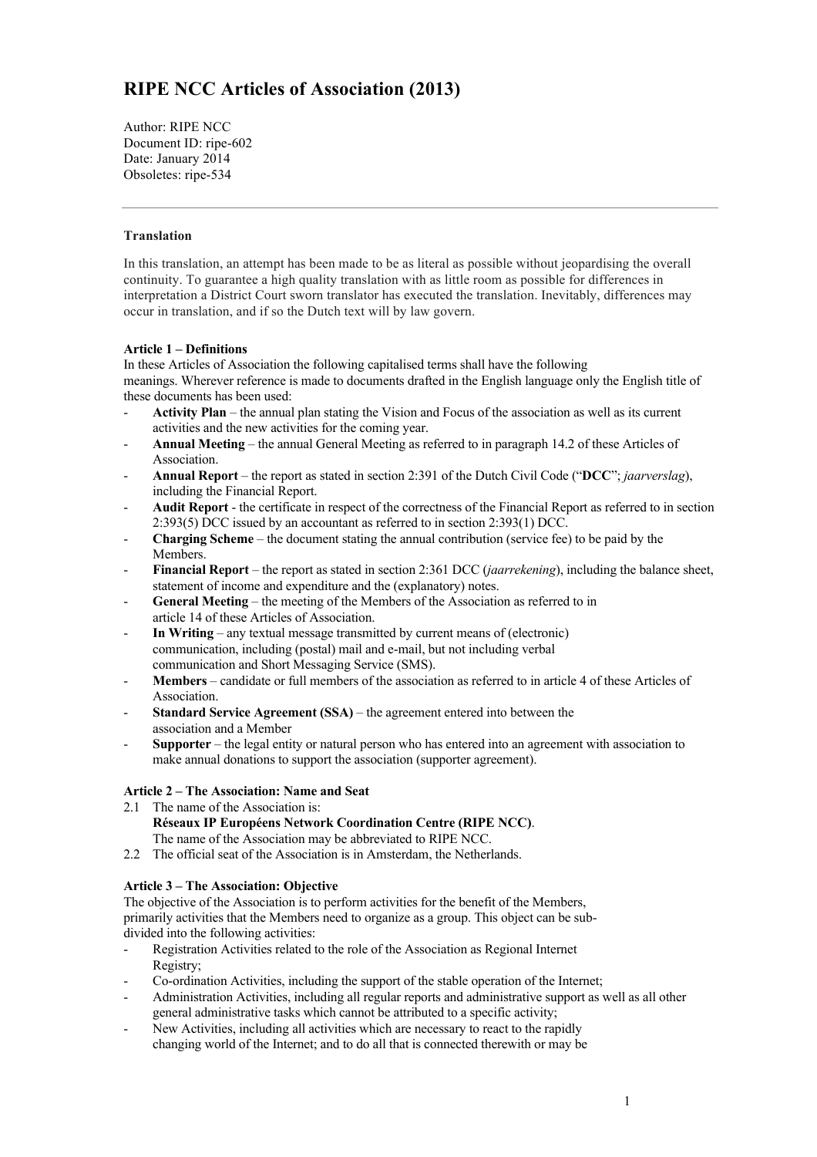# **RIPE NCC Articles of Association (2013)**

Author: RIPE NCC Document ID: ripe-602 Date: January 2014 Obsoletes: ripe-534

# **Translation**

In this translation, an attempt has been made to be as literal as possible without jeopardising the overall continuity. To guarantee a high quality translation with as little room as possible for differences in interpretation a District Court sworn translator has executed the translation. Inevitably, differences may occur in translation, and if so the Dutch text will by law govern.

# **Article 1 – Definitions**

In these Articles of Association the following capitalised terms shall have the following meanings. Wherever reference is made to documents drafted in the English language only the English title of these documents has been used:

- **Activity Plan**  the annual plan stating the Vision and Focus of the association as well as its current activities and the new activities for the coming year.
- **Annual Meeting** the annual General Meeting as referred to in paragraph 14.2 of these Articles of Association.
- **Annual Report**  the report as stated in section 2:391 of the Dutch Civil Code ("**DCC**"; *jaarverslag*), including the Financial Report.
- **Audit Report** the certificate in respect of the correctness of the Financial Report as referred to in section 2:393(5) DCC issued by an accountant as referred to in section 2:393(1) DCC.
- **Charging Scheme** the document stating the annual contribution (service fee) to be paid by the Members.
- **Financial Report** the report as stated in section 2:361 DCC (*jaarrekening*), including the balance sheet, statement of income and expenditure and the (explanatory) notes.
- **General Meeting** the meeting of the Members of the Association as referred to in article 14 of these Articles of Association.
- **In Writing** any textual message transmitted by current means of (electronic) communication, including (postal) mail and e-mail, but not including verbal communication and Short Messaging Service (SMS).
- Members candidate or full members of the association as referred to in article 4 of these Articles of Association.
- **Standard Service Agreement (SSA)** the agreement entered into between the association and a Member
- **Supporter** the legal entity or natural person who has entered into an agreement with association to make annual donations to support the association (supporter agreement).

### **Article 2 – The Association: Name and Seat**

- 2.1 The name of the Association is: **Réseaux IP Européens Network Coordination Centre (RIPE NCC)**. The name of the Association may be abbreviated to RIPE NCC.
- 2.2 The official seat of the Association is in Amsterdam, the Netherlands.

# **Article 3 – The Association: Objective**

The objective of the Association is to perform activities for the benefit of the Members, primarily activities that the Members need to organize as a group. This object can be subdivided into the following activities:

- Registration Activities related to the role of the Association as Regional Internet Registry;
- Co-ordination Activities, including the support of the stable operation of the Internet;
- Administration Activities, including all regular reports and administrative support as well as all other general administrative tasks which cannot be attributed to a specific activity;
- New Activities, including all activities which are necessary to react to the rapidly changing world of the Internet; and to do all that is connected therewith or may be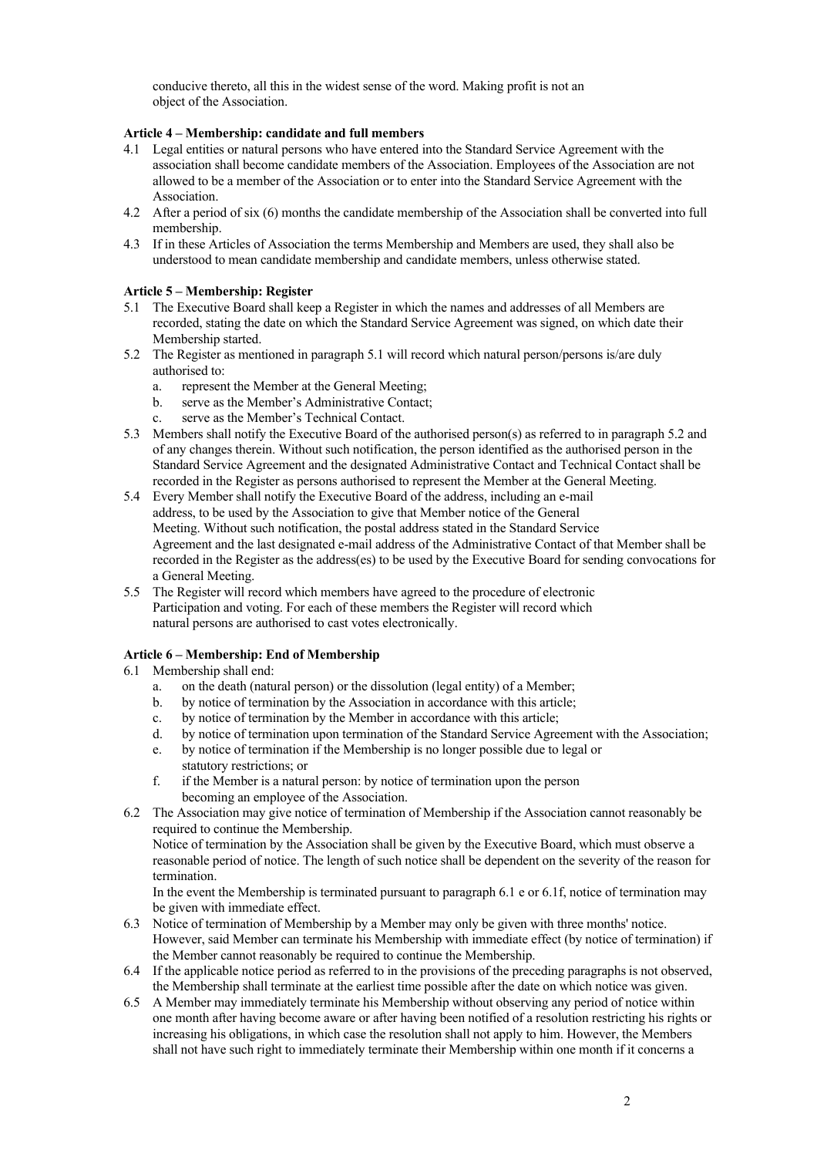conducive thereto, all this in the widest sense of the word. Making profit is not an object of the Association.

# **Article 4 – Membership: candidate and full members**

- 4.1 Legal entities or natural persons who have entered into the Standard Service Agreement with the association shall become candidate members of the Association. Employees of the Association are not allowed to be a member of the Association or to enter into the Standard Service Agreement with the Association.
- 4.2 After a period of six (6) months the candidate membership of the Association shall be converted into full membership.
- 4.3 If in these Articles of Association the terms Membership and Members are used, they shall also be understood to mean candidate membership and candidate members, unless otherwise stated.

# **Article 5 – Membership: Register**

- 5.1 The Executive Board shall keep a Register in which the names and addresses of all Members are recorded, stating the date on which the Standard Service Agreement was signed, on which date their Membership started.
- 5.2 The Register as mentioned in paragraph 5.1 will record which natural person/persons is/are duly authorised to:
	- a. represent the Member at the General Meeting;
	- b. serve as the Member's Administrative Contact;
	- c. serve as the Member's Technical Contact.
- 5.3 Members shall notify the Executive Board of the authorised person(s) as referred to in paragraph 5.2 and of any changes therein. Without such notification, the person identified as the authorised person in the Standard Service Agreement and the designated Administrative Contact and Technical Contact shall be recorded in the Register as persons authorised to represent the Member at the General Meeting.
- 5.4 Every Member shall notify the Executive Board of the address, including an e-mail address, to be used by the Association to give that Member notice of the General Meeting. Without such notification, the postal address stated in the Standard Service Agreement and the last designated e-mail address of the Administrative Contact of that Member shall be recorded in the Register as the address(es) to be used by the Executive Board for sending convocations for a General Meeting.
- 5.5 The Register will record which members have agreed to the procedure of electronic Participation and voting. For each of these members the Register will record which natural persons are authorised to cast votes electronically.

# **Article 6 – Membership: End of Membership**

### 6.1 Membership shall end:

- a. on the death (natural person) or the dissolution (legal entity) of a Member;
- b. by notice of termination by the Association in accordance with this article;
- c. by notice of termination by the Member in accordance with this article;
- d. by notice of termination upon termination of the Standard Service Agreement with the Association;
- e. by notice of termination if the Membership is no longer possible due to legal or statutory restrictions; or
- f. if the Member is a natural person: by notice of termination upon the person becoming an employee of the Association.
- 6.2 The Association may give notice of termination of Membership if the Association cannot reasonably be required to continue the Membership.

Notice of termination by the Association shall be given by the Executive Board, which must observe a reasonable period of notice. The length of such notice shall be dependent on the severity of the reason for termination.

In the event the Membership is terminated pursuant to paragraph 6.1 e or 6.1f, notice of termination may be given with immediate effect.

- 6.3 Notice of termination of Membership by a Member may only be given with three months' notice. However, said Member can terminate his Membership with immediate effect (by notice of termination) if the Member cannot reasonably be required to continue the Membership.
- 6.4 If the applicable notice period as referred to in the provisions of the preceding paragraphs is not observed, the Membership shall terminate at the earliest time possible after the date on which notice was given.
- 6.5 A Member may immediately terminate his Membership without observing any period of notice within one month after having become aware or after having been notified of a resolution restricting his rights or increasing his obligations, in which case the resolution shall not apply to him. However, the Members shall not have such right to immediately terminate their Membership within one month if it concerns a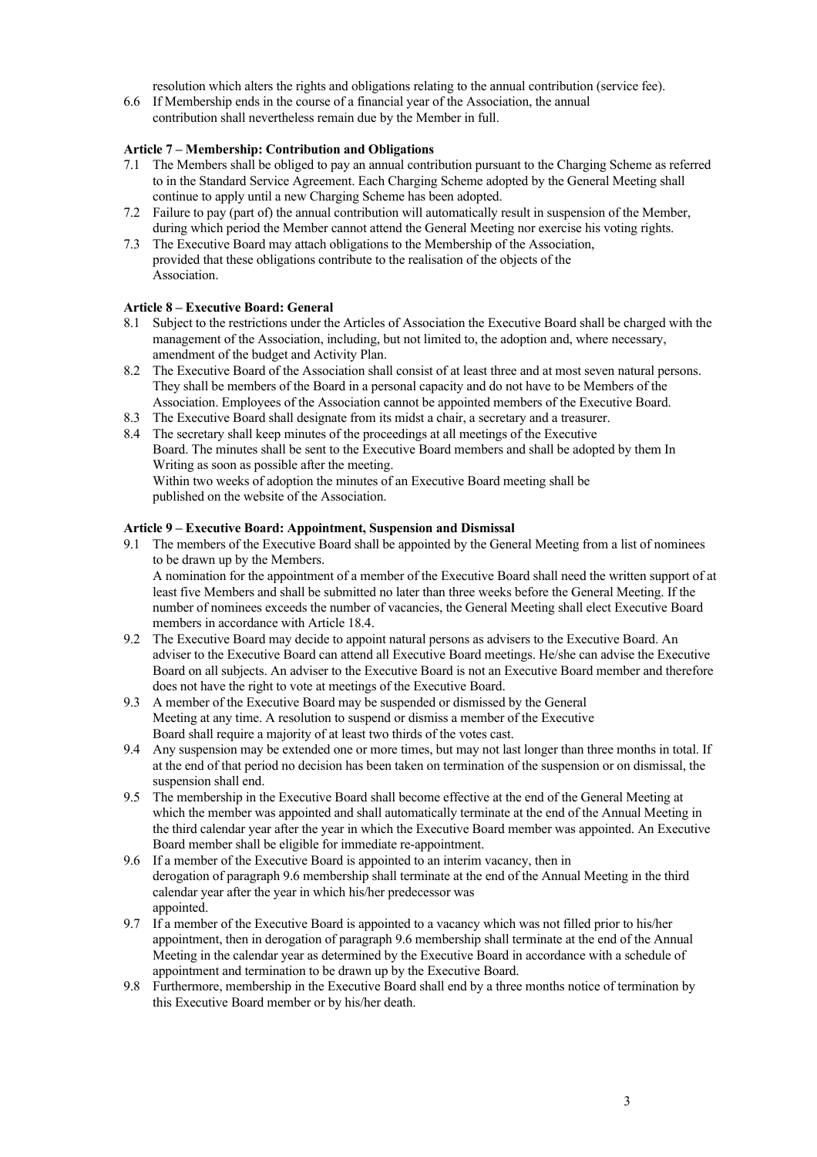resolution which alters the rights and obligations relating to the annual contribution (service fee).

6.6 If Membership ends in the course of a financial year of the Association, the annual contribution shall nevertheless remain due by the Member in full.

# **Article 7 – Membership: Contribution and Obligations**

- 7.1 The Members shall be obliged to pay an annual contribution pursuant to the Charging Scheme as referred to in the Standard Service Agreement. Each Charging Scheme adopted by the General Meeting shall continue to apply until a new Charging Scheme has been adopted.
- 7.2 Failure to pay (part of) the annual contribution will automatically result in suspension of the Member, during which period the Member cannot attend the General Meeting nor exercise his voting rights.
- 7.3 The Executive Board may attach obligations to the Membership of the Association, provided that these obligations contribute to the realisation of the objects of the Association.

### **Article 8 – Executive Board: General**

- 8.1 Subject to the restrictions under the Articles of Association the Executive Board shall be charged with the management of the Association, including, but not limited to, the adoption and, where necessary, amendment of the budget and Activity Plan.
- 8.2 The Executive Board of the Association shall consist of at least three and at most seven natural persons. They shall be members of the Board in a personal capacity and do not have to be Members of the Association. Employees of the Association cannot be appointed members of the Executive Board.
- 8.3 The Executive Board shall designate from its midst a chair, a secretary and a treasurer.
- 8.4 The secretary shall keep minutes of the proceedings at all meetings of the Executive Board. The minutes shall be sent to the Executive Board members and shall be adopted by them In Writing as soon as possible after the meeting. Within two weeks of adoption the minutes of an Executive Board meeting shall be published on the website of the Association.

#### **Article 9 – Executive Board: Appointment, Suspension and Dismissal**

9.1 The members of the Executive Board shall be appointed by the General Meeting from a list of nominees to be drawn up by the Members. A nomination for the appointment of a member of the Executive Board shall need the written support of at least five Members and shall be submitted no later than three weeks before the General Meeting. If the

number of nominees exceeds the number of vacancies, the General Meeting shall elect Executive Board members in accordance with Article 18.4.

- 9.2 The Executive Board may decide to appoint natural persons as advisers to the Executive Board. An adviser to the Executive Board can attend all Executive Board meetings. He/she can advise the Executive Board on all subjects. An adviser to the Executive Board is not an Executive Board member and therefore does not have the right to vote at meetings of the Executive Board.
- 9.3 A member of the Executive Board may be suspended or dismissed by the General Meeting at any time. A resolution to suspend or dismiss a member of the Executive Board shall require a majority of at least two thirds of the votes cast.
- 9.4 Any suspension may be extended one or more times, but may not last longer than three months in total. If at the end of that period no decision has been taken on termination of the suspension or on dismissal, the suspension shall end.
- 9.5 The membership in the Executive Board shall become effective at the end of the General Meeting at which the member was appointed and shall automatically terminate at the end of the Annual Meeting in the third calendar year after the year in which the Executive Board member was appointed. An Executive Board member shall be eligible for immediate re-appointment.
- 9.6 If a member of the Executive Board is appointed to an interim vacancy, then in derogation of paragraph 9.6 membership shall terminate at the end of the Annual Meeting in the third calendar year after the year in which his/her predecessor was appointed.
- 9.7 If a member of the Executive Board is appointed to a vacancy which was not filled prior to his/her appointment, then in derogation of paragraph 9.6 membership shall terminate at the end of the Annual Meeting in the calendar year as determined by the Executive Board in accordance with a schedule of appointment and termination to be drawn up by the Executive Board.
- 9.8 Furthermore, membership in the Executive Board shall end by a three months notice of termination by this Executive Board member or by his/her death.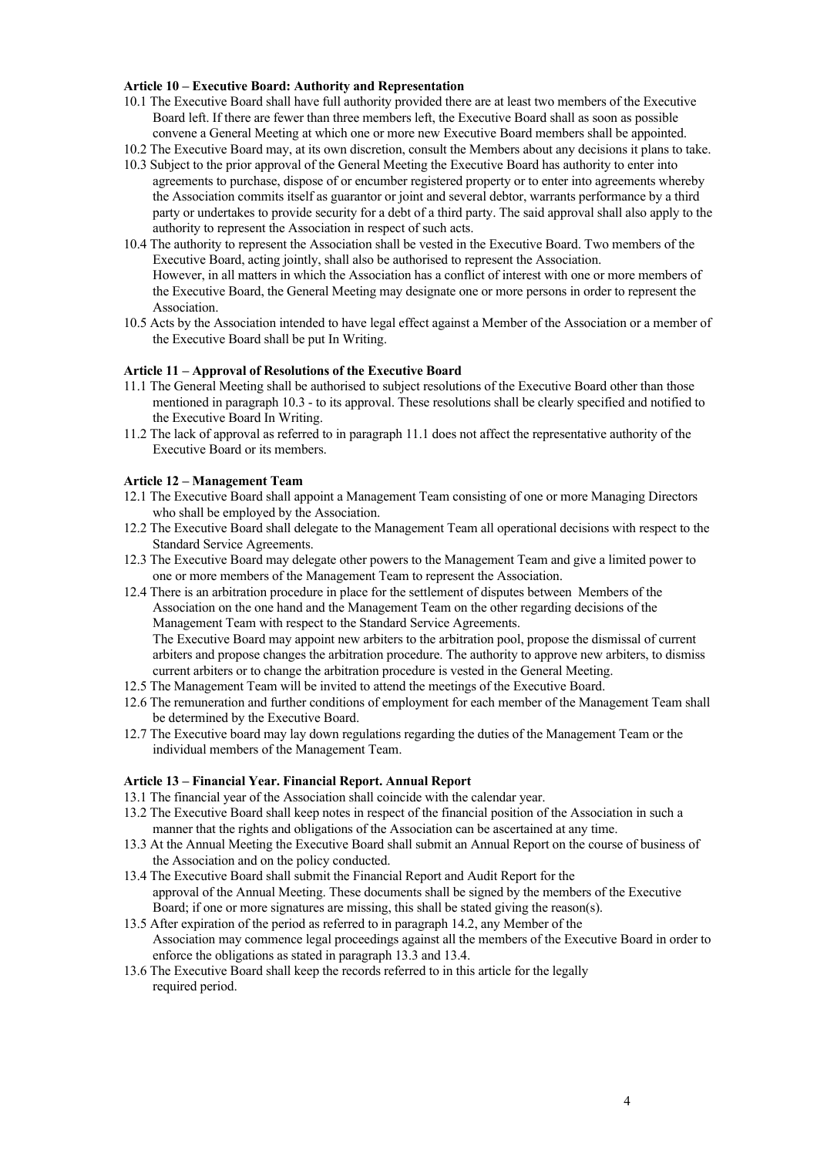#### **Article 10 – Executive Board: Authority and Representation**

- 10.1 The Executive Board shall have full authority provided there are at least two members of the Executive Board left. If there are fewer than three members left, the Executive Board shall as soon as possible convene a General Meeting at which one or more new Executive Board members shall be appointed.
- 10.2 The Executive Board may, at its own discretion, consult the Members about any decisions it plans to take.
- 10.3 Subject to the prior approval of the General Meeting the Executive Board has authority to enter into agreements to purchase, dispose of or encumber registered property or to enter into agreements whereby the Association commits itself as guarantor or joint and several debtor, warrants performance by a third party or undertakes to provide security for a debt of a third party. The said approval shall also apply to the authority to represent the Association in respect of such acts.
- 10.4 The authority to represent the Association shall be vested in the Executive Board. Two members of the Executive Board, acting jointly, shall also be authorised to represent the Association. However, in all matters in which the Association has a conflict of interest with one or more members of the Executive Board, the General Meeting may designate one or more persons in order to represent the Association.
- 10.5 Acts by the Association intended to have legal effect against a Member of the Association or a member of the Executive Board shall be put In Writing.

#### **Article 11 – Approval of Resolutions of the Executive Board**

- 11.1 The General Meeting shall be authorised to subject resolutions of the Executive Board other than those mentioned in paragraph 10.3 - to its approval. These resolutions shall be clearly specified and notified to the Executive Board In Writing.
- 11.2 The lack of approval as referred to in paragraph 11.1 does not affect the representative authority of the Executive Board or its members.

#### **Article 12 – Management Team**

- 12.1 The Executive Board shall appoint a Management Team consisting of one or more Managing Directors who shall be employed by the Association.
- 12.2 The Executive Board shall delegate to the Management Team all operational decisions with respect to the Standard Service Agreements.
- 12.3 The Executive Board may delegate other powers to the Management Team and give a limited power to one or more members of the Management Team to represent the Association.
- 12.4 There is an arbitration procedure in place for the settlement of disputes between Members of the Association on the one hand and the Management Team on the other regarding decisions of the Management Team with respect to the Standard Service Agreements. The Executive Board may appoint new arbiters to the arbitration pool, propose the dismissal of current arbiters and propose changes the arbitration procedure. The authority to approve new arbiters, to dismiss
- current arbiters or to change the arbitration procedure is vested in the General Meeting.
- 12.5 The Management Team will be invited to attend the meetings of the Executive Board.
- 12.6 The remuneration and further conditions of employment for each member of the Management Team shall be determined by the Executive Board.
- 12.7 The Executive board may lay down regulations regarding the duties of the Management Team or the individual members of the Management Team.

#### **Article 13 – Financial Year. Financial Report. Annual Report**

- 13.1 The financial year of the Association shall coincide with the calendar year.
- 13.2 The Executive Board shall keep notes in respect of the financial position of the Association in such a manner that the rights and obligations of the Association can be ascertained at any time.
- 13.3 At the Annual Meeting the Executive Board shall submit an Annual Report on the course of business of the Association and on the policy conducted.
- 13.4 The Executive Board shall submit the Financial Report and Audit Report for the approval of the Annual Meeting. These documents shall be signed by the members of the Executive Board; if one or more signatures are missing, this shall be stated giving the reason(s).
- 13.5 After expiration of the period as referred to in paragraph 14.2, any Member of the Association may commence legal proceedings against all the members of the Executive Board in order to enforce the obligations as stated in paragraph 13.3 and 13.4.
- 13.6 The Executive Board shall keep the records referred to in this article for the legally required period.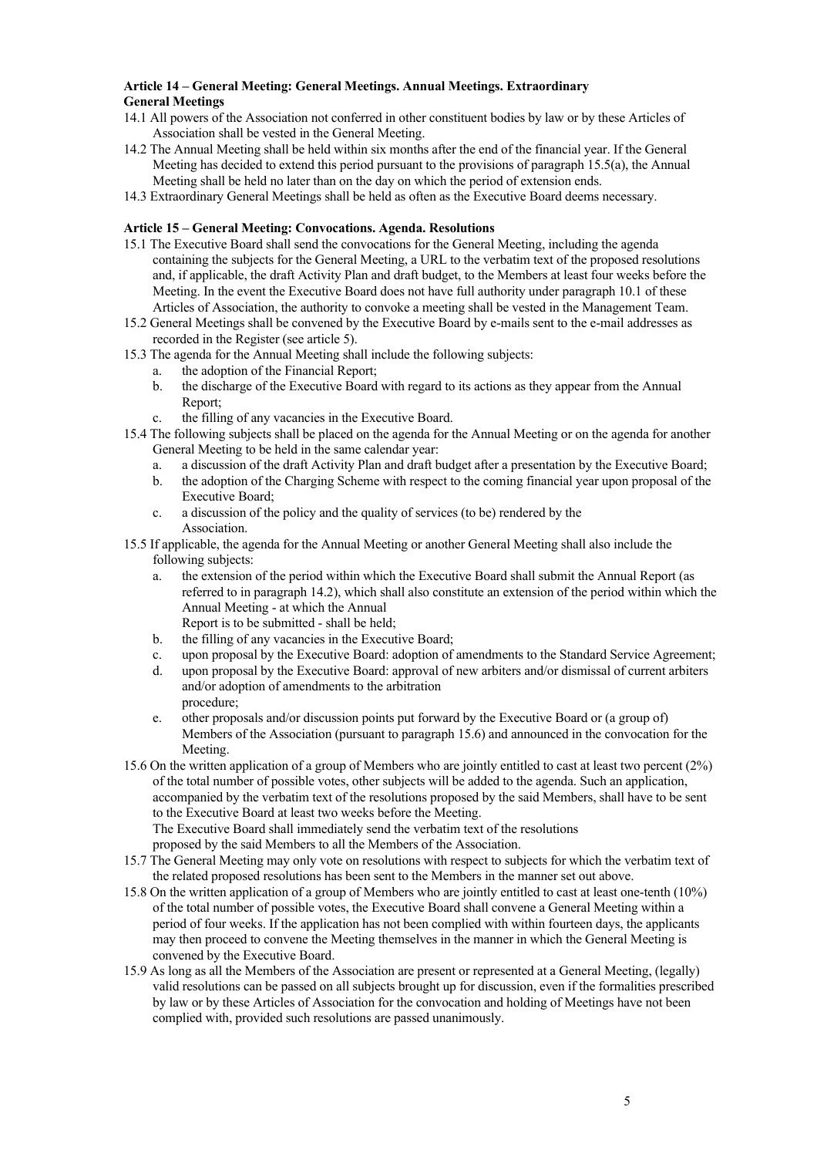# **Article 14 – General Meeting: General Meetings. Annual Meetings. Extraordinary General Meetings**

- 14.1 All powers of the Association not conferred in other constituent bodies by law or by these Articles of Association shall be vested in the General Meeting.
- 14.2 The Annual Meeting shall be held within six months after the end of the financial year. If the General Meeting has decided to extend this period pursuant to the provisions of paragraph 15.5(a), the Annual Meeting shall be held no later than on the day on which the period of extension ends.
- 14.3 Extraordinary General Meetings shall be held as often as the Executive Board deems necessary.

#### **Article 15 – General Meeting: Convocations. Agenda. Resolutions**

- 15.1 The Executive Board shall send the convocations for the General Meeting, including the agenda containing the subjects for the General Meeting, a URL to the verbatim text of the proposed resolutions and, if applicable, the draft Activity Plan and draft budget, to the Members at least four weeks before the Meeting. In the event the Executive Board does not have full authority under paragraph 10.1 of these Articles of Association, the authority to convoke a meeting shall be vested in the Management Team.
- 15.2 General Meetings shall be convened by the Executive Board by e-mails sent to the e-mail addresses as recorded in the Register (see article 5).
- 15.3 The agenda for the Annual Meeting shall include the following subjects:
	- a. the adoption of the Financial Report;
	- b. the discharge of the Executive Board with regard to its actions as they appear from the Annual Report;
	- c. the filling of any vacancies in the Executive Board.
- 15.4 The following subjects shall be placed on the agenda for the Annual Meeting or on the agenda for another General Meeting to be held in the same calendar year:
	- a. a discussion of the draft Activity Plan and draft budget after a presentation by the Executive Board;
	- b. the adoption of the Charging Scheme with respect to the coming financial year upon proposal of the Executive Board;
	- c. a discussion of the policy and the quality of services (to be) rendered by the **Association**
- 15.5 If applicable, the agenda for the Annual Meeting or another General Meeting shall also include the following subjects:
	- a. the extension of the period within which the Executive Board shall submit the Annual Report (as referred to in paragraph 14.2), which shall also constitute an extension of the period within which the Annual Meeting - at which the Annual Report is to be submitted - shall be held;
	- b. the filling of any vacancies in the Executive Board;
	- c. upon proposal by the Executive Board: adoption of amendments to the Standard Service Agreement;
	- d. upon proposal by the Executive Board: approval of new arbiters and/or dismissal of current arbiters and/or adoption of amendments to the arbitration procedure;
	- e. other proposals and/or discussion points put forward by the Executive Board or (a group of) Members of the Association (pursuant to paragraph 15.6) and announced in the convocation for the Meeting.
- 15.6 On the written application of a group of Members who are jointly entitled to cast at least two percent (2%) of the total number of possible votes, other subjects will be added to the agenda. Such an application, accompanied by the verbatim text of the resolutions proposed by the said Members, shall have to be sent to the Executive Board at least two weeks before the Meeting.

The Executive Board shall immediately send the verbatim text of the resolutions

proposed by the said Members to all the Members of the Association.

- 15.7 The General Meeting may only vote on resolutions with respect to subjects for which the verbatim text of the related proposed resolutions has been sent to the Members in the manner set out above.
- 15.8 On the written application of a group of Members who are jointly entitled to cast at least one-tenth (10%) of the total number of possible votes, the Executive Board shall convene a General Meeting within a period of four weeks. If the application has not been complied with within fourteen days, the applicants may then proceed to convene the Meeting themselves in the manner in which the General Meeting is convened by the Executive Board.
- 15.9 As long as all the Members of the Association are present or represented at a General Meeting, (legally) valid resolutions can be passed on all subjects brought up for discussion, even if the formalities prescribed by law or by these Articles of Association for the convocation and holding of Meetings have not been complied with, provided such resolutions are passed unanimously.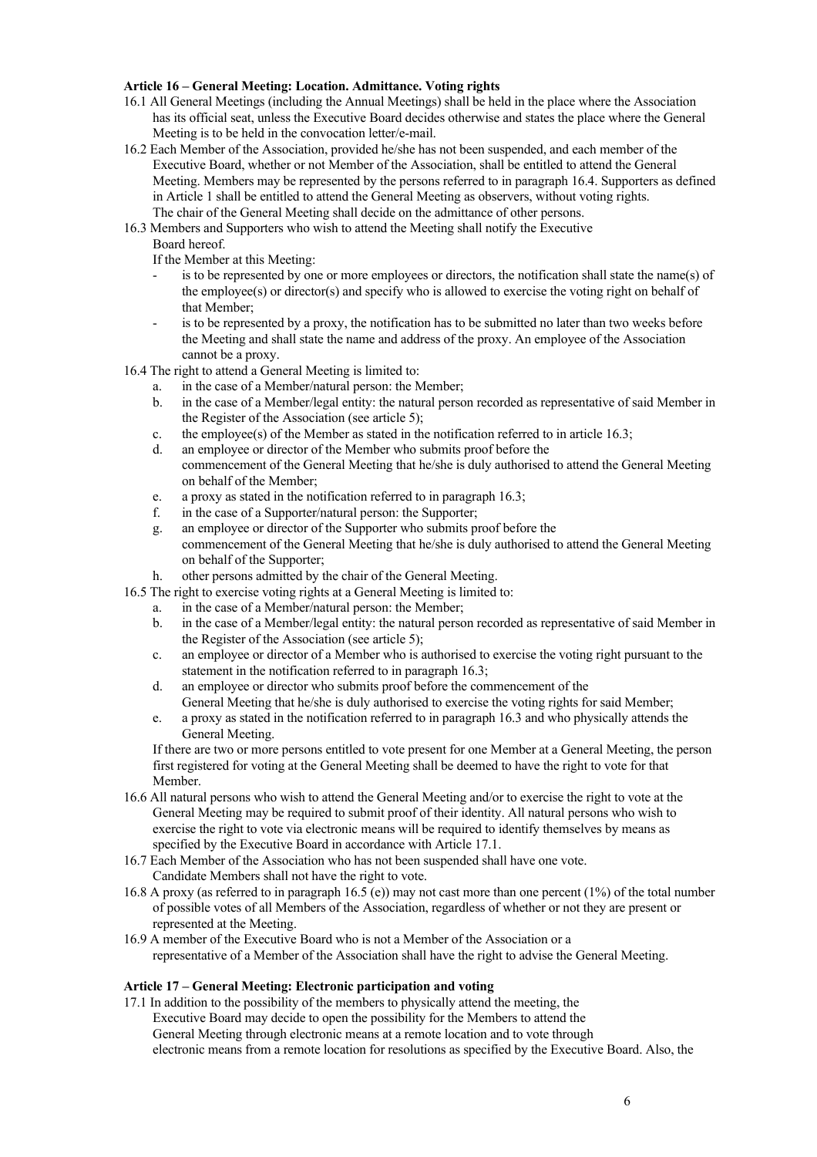### **Article 16 – General Meeting: Location. Admittance. Voting rights**

- 16.1 All General Meetings (including the Annual Meetings) shall be held in the place where the Association has its official seat, unless the Executive Board decides otherwise and states the place where the General Meeting is to be held in the convocation letter/e-mail.
- 16.2 Each Member of the Association, provided he/she has not been suspended, and each member of the Executive Board, whether or not Member of the Association, shall be entitled to attend the General Meeting. Members may be represented by the persons referred to in paragraph 16.4. Supporters as defined in Article 1 shall be entitled to attend the General Meeting as observers, without voting rights. The chair of the General Meeting shall decide on the admittance of other persons.
- 16.3 Members and Supporters who wish to attend the Meeting shall notify the Executive
	- Board hereof.
	- If the Member at this Meeting:
	- is to be represented by one or more employees or directors, the notification shall state the name(s) of the employee(s) or director(s) and specify who is allowed to exercise the voting right on behalf of that Member;
	- is to be represented by a proxy, the notification has to be submitted no later than two weeks before the Meeting and shall state the name and address of the proxy. An employee of the Association cannot be a proxy.
- 16.4 The right to attend a General Meeting is limited to:
	- a. in the case of a Member/natural person: the Member;
	- b. in the case of a Member/legal entity: the natural person recorded as representative of said Member in the Register of the Association (see article 5);
	- c. the employee(s) of the Member as stated in the notification referred to in article 16.3;
	- d. an employee or director of the Member who submits proof before the commencement of the General Meeting that he/she is duly authorised to attend the General Meeting on behalf of the Member;
	- e. a proxy as stated in the notification referred to in paragraph 16.3;
	- f. in the case of a Supporter/natural person: the Supporter;
	- g. an employee or director of the Supporter who submits proof before the commencement of the General Meeting that he/she is duly authorised to attend the General Meeting on behalf of the Supporter;
	- h. other persons admitted by the chair of the General Meeting.
- 16.5 The right to exercise voting rights at a General Meeting is limited to:
	- a. in the case of a Member/natural person: the Member;
	- b. in the case of a Member/legal entity: the natural person recorded as representative of said Member in the Register of the Association (see article 5);
	- c. an employee or director of a Member who is authorised to exercise the voting right pursuant to the statement in the notification referred to in paragraph 16.3;
	- d. an employee or director who submits proof before the commencement of the General Meeting that he/she is duly authorised to exercise the voting rights for said Member:
	- e. a proxy as stated in the notification referred to in paragraph 16.3 and who physically attends the General Meeting.

If there are two or more persons entitled to vote present for one Member at a General Meeting, the person first registered for voting at the General Meeting shall be deemed to have the right to vote for that Member.

- 16.6 All natural persons who wish to attend the General Meeting and/or to exercise the right to vote at the General Meeting may be required to submit proof of their identity. All natural persons who wish to exercise the right to vote via electronic means will be required to identify themselves by means as specified by the Executive Board in accordance with Article 17.1.
- 16.7 Each Member of the Association who has not been suspended shall have one vote. Candidate Members shall not have the right to vote.
- 16.8 A proxy (as referred to in paragraph 16.5 (e)) may not cast more than one percent (1%) of the total number of possible votes of all Members of the Association, regardless of whether or not they are present or represented at the Meeting.
- 16.9 A member of the Executive Board who is not a Member of the Association or a representative of a Member of the Association shall have the right to advise the General Meeting.

### **Article 17 – General Meeting: Electronic participation and voting**

17.1 In addition to the possibility of the members to physically attend the meeting, the Executive Board may decide to open the possibility for the Members to attend the General Meeting through electronic means at a remote location and to vote through electronic means from a remote location for resolutions as specified by the Executive Board. Also, the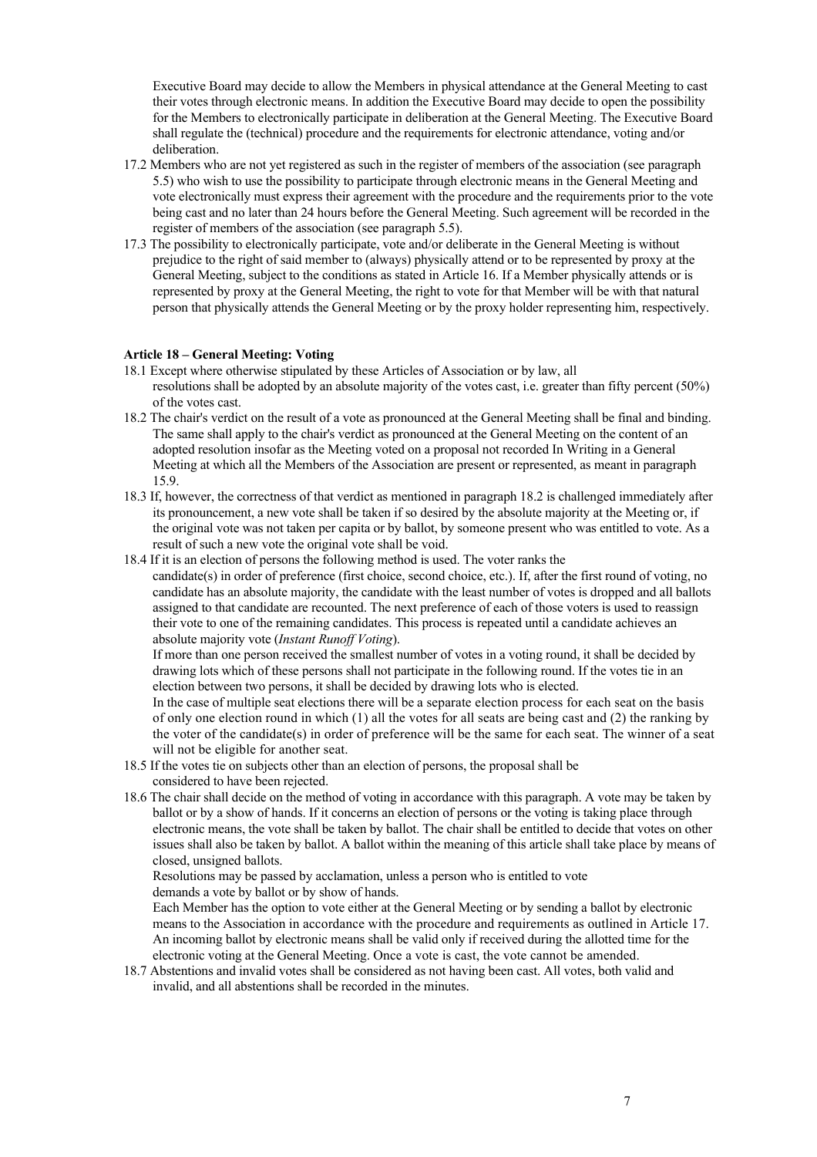Executive Board may decide to allow the Members in physical attendance at the General Meeting to cast their votes through electronic means. In addition the Executive Board may decide to open the possibility for the Members to electronically participate in deliberation at the General Meeting. The Executive Board shall regulate the (technical) procedure and the requirements for electronic attendance, voting and/or deliberation.

- 17.2 Members who are not yet registered as such in the register of members of the association (see paragraph 5.5) who wish to use the possibility to participate through electronic means in the General Meeting and vote electronically must express their agreement with the procedure and the requirements prior to the vote being cast and no later than 24 hours before the General Meeting. Such agreement will be recorded in the register of members of the association (see paragraph 5.5).
- 17.3 The possibility to electronically participate, vote and/or deliberate in the General Meeting is without prejudice to the right of said member to (always) physically attend or to be represented by proxy at the General Meeting, subject to the conditions as stated in Article 16. If a Member physically attends or is represented by proxy at the General Meeting, the right to vote for that Member will be with that natural person that physically attends the General Meeting or by the proxy holder representing him, respectively.

#### **Article 18 – General Meeting: Voting**

- 18.1 Except where otherwise stipulated by these Articles of Association or by law, all resolutions shall be adopted by an absolute majority of the votes cast, i.e. greater than fifty percent (50%) of the votes cast.
- 18.2 The chair's verdict on the result of a vote as pronounced at the General Meeting shall be final and binding. The same shall apply to the chair's verdict as pronounced at the General Meeting on the content of an adopted resolution insofar as the Meeting voted on a proposal not recorded In Writing in a General Meeting at which all the Members of the Association are present or represented, as meant in paragraph 15.9.
- 18.3 If, however, the correctness of that verdict as mentioned in paragraph 18.2 is challenged immediately after its pronouncement, a new vote shall be taken if so desired by the absolute majority at the Meeting or, if the original vote was not taken per capita or by ballot, by someone present who was entitled to vote. As a result of such a new vote the original vote shall be void.
- 18.4 If it is an election of persons the following method is used. The voter ranks the candidate(s) in order of preference (first choice, second choice, etc.). If, after the first round of voting, no candidate has an absolute majority, the candidate with the least number of votes is dropped and all ballots assigned to that candidate are recounted. The next preference of each of those voters is used to reassign their vote to one of the remaining candidates. This process is repeated until a candidate achieves an absolute majority vote (*Instant Runoff Voting*).

If more than one person received the smallest number of votes in a voting round, it shall be decided by drawing lots which of these persons shall not participate in the following round. If the votes tie in an election between two persons, it shall be decided by drawing lots who is elected.

In the case of multiple seat elections there will be a separate election process for each seat on the basis of only one election round in which (1) all the votes for all seats are being cast and (2) the ranking by the voter of the candidate(s) in order of preference will be the same for each seat. The winner of a seat will not be eligible for another seat.

- 18.5 If the votes tie on subjects other than an election of persons, the proposal shall be considered to have been rejected.
- 18.6 The chair shall decide on the method of voting in accordance with this paragraph. A vote may be taken by ballot or by a show of hands. If it concerns an election of persons or the voting is taking place through electronic means, the vote shall be taken by ballot. The chair shall be entitled to decide that votes on other issues shall also be taken by ballot. A ballot within the meaning of this article shall take place by means of closed, unsigned ballots.

Resolutions may be passed by acclamation, unless a person who is entitled to vote demands a vote by ballot or by show of hands.

Each Member has the option to vote either at the General Meeting or by sending a ballot by electronic means to the Association in accordance with the procedure and requirements as outlined in Article 17. An incoming ballot by electronic means shall be valid only if received during the allotted time for the electronic voting at the General Meeting. Once a vote is cast, the vote cannot be amended.

18.7 Abstentions and invalid votes shall be considered as not having been cast. All votes, both valid and invalid, and all abstentions shall be recorded in the minutes.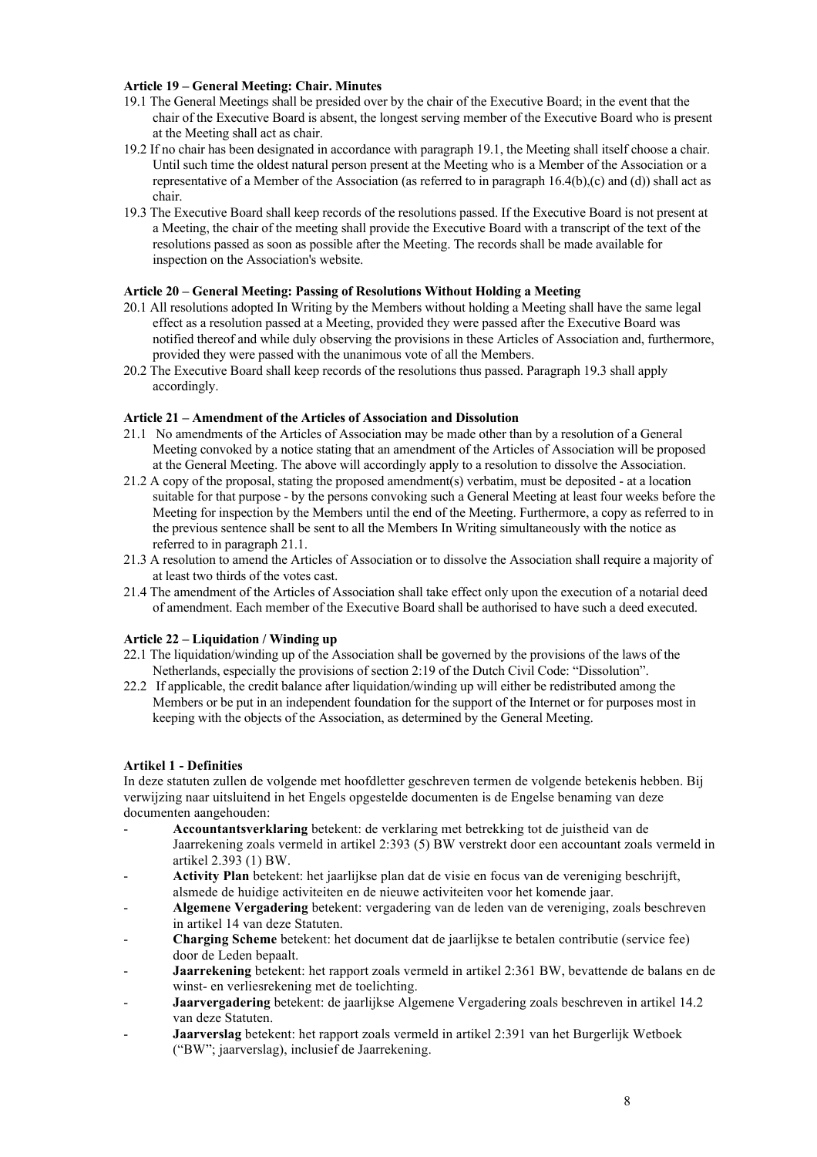#### **Article 19 – General Meeting: Chair. Minutes**

- 19.1 The General Meetings shall be presided over by the chair of the Executive Board; in the event that the chair of the Executive Board is absent, the longest serving member of the Executive Board who is present at the Meeting shall act as chair.
- 19.2 If no chair has been designated in accordance with paragraph 19.1, the Meeting shall itself choose a chair. Until such time the oldest natural person present at the Meeting who is a Member of the Association or a representative of a Member of the Association (as referred to in paragraph 16.4(b),(c) and (d)) shall act as chair.
- 19.3 The Executive Board shall keep records of the resolutions passed. If the Executive Board is not present at a Meeting, the chair of the meeting shall provide the Executive Board with a transcript of the text of the resolutions passed as soon as possible after the Meeting. The records shall be made available for inspection on the Association's website.

### **Article 20 – General Meeting: Passing of Resolutions Without Holding a Meeting**

- 20.1 All resolutions adopted In Writing by the Members without holding a Meeting shall have the same legal effect as a resolution passed at a Meeting, provided they were passed after the Executive Board was notified thereof and while duly observing the provisions in these Articles of Association and, furthermore, provided they were passed with the unanimous vote of all the Members.
- 20.2 The Executive Board shall keep records of the resolutions thus passed. Paragraph 19.3 shall apply accordingly.

#### **Article 21 – Amendment of the Articles of Association and Dissolution**

- 21.1 No amendments of the Articles of Association may be made other than by a resolution of a General Meeting convoked by a notice stating that an amendment of the Articles of Association will be proposed at the General Meeting. The above will accordingly apply to a resolution to dissolve the Association.
- 21.2 A copy of the proposal, stating the proposed amendment(s) verbatim, must be deposited at a location suitable for that purpose - by the persons convoking such a General Meeting at least four weeks before the Meeting for inspection by the Members until the end of the Meeting. Furthermore, a copy as referred to in the previous sentence shall be sent to all the Members In Writing simultaneously with the notice as referred to in paragraph 21.1.
- 21.3 A resolution to amend the Articles of Association or to dissolve the Association shall require a majority of at least two thirds of the votes cast.
- 21.4 The amendment of the Articles of Association shall take effect only upon the execution of a notarial deed of amendment. Each member of the Executive Board shall be authorised to have such a deed executed.

#### **Article 22 – Liquidation / Winding up**

- 22.1 The liquidation/winding up of the Association shall be governed by the provisions of the laws of the Netherlands, especially the provisions of section 2:19 of the Dutch Civil Code: "Dissolution".
- 22.2 If applicable, the credit balance after liquidation/winding up will either be redistributed among the Members or be put in an independent foundation for the support of the Internet or for purposes most in keeping with the objects of the Association, as determined by the General Meeting.

# **Artikel 1 - Definities**

In deze statuten zullen de volgende met hoofdletter geschreven termen de volgende betekenis hebben. Bij verwijzing naar uitsluitend in het Engels opgestelde documenten is de Engelse benaming van deze documenten aangehouden:

- **Accountantsverklaring** betekent: de verklaring met betrekking tot de juistheid van de Jaarrekening zoals vermeld in artikel 2:393 (5) BW verstrekt door een accountant zoals vermeld in artikel 2.393 (1) BW.
- **Activity Plan** betekent: het jaarlijkse plan dat de visie en focus van de vereniging beschrijft, alsmede de huidige activiteiten en de nieuwe activiteiten voor het komende jaar.
- **Algemene Vergadering** betekent: vergadering van de leden van de vereniging, zoals beschreven in artikel 14 van deze Statuten.
- **Charging Scheme** betekent: het document dat de jaarlijkse te betalen contributie (service fee) door de Leden bepaalt.
- **Jaarrekening** betekent: het rapport zoals vermeld in artikel 2:361 BW, bevattende de balans en de winst- en verliesrekening met de toelichting.
- **Jaarvergadering** betekent: de jaarlijkse Algemene Vergadering zoals beschreven in artikel 14.2 van deze Statuten.
- **Jaarverslag** betekent: het rapport zoals vermeld in artikel 2:391 van het Burgerlijk Wetboek ("BW"; jaarverslag), inclusief de Jaarrekening.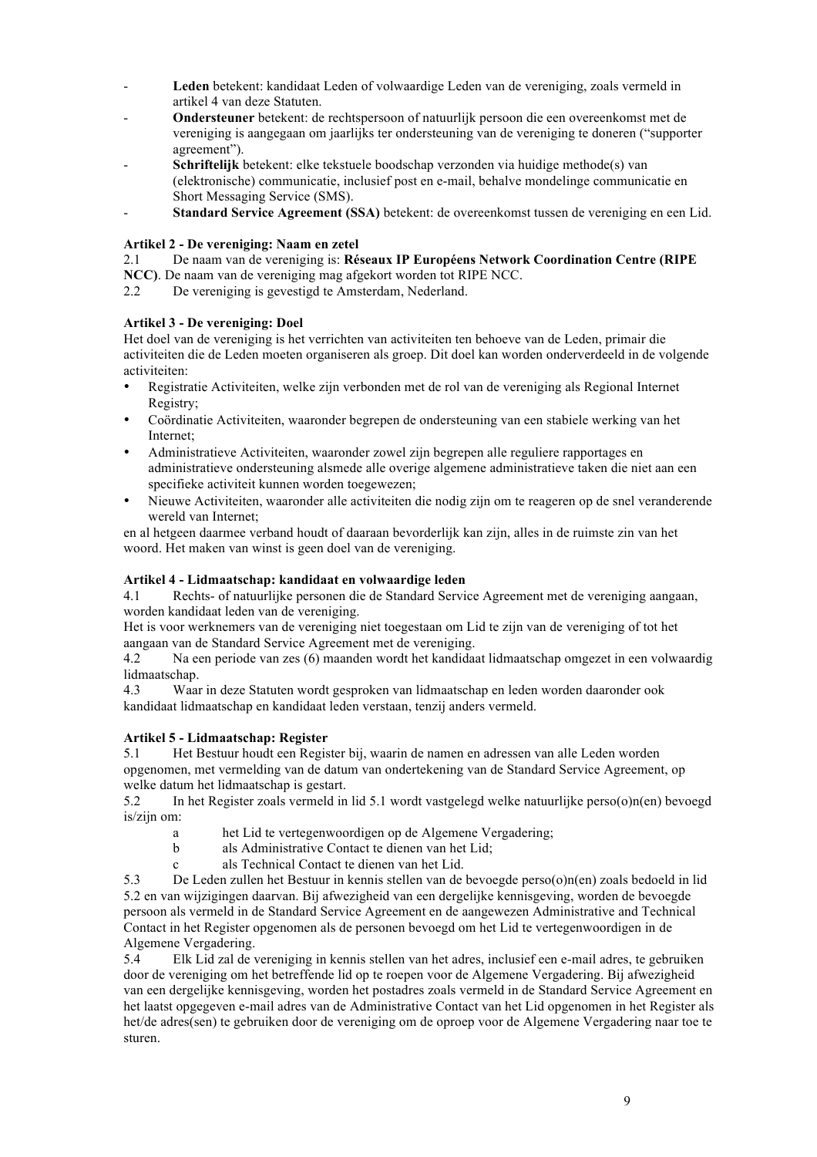- Leden betekent: kandidaat Leden of volwaardige Leden van de vereniging, zoals vermeld in artikel 4 van deze Statuten.
- **Ondersteuner** betekent: de rechtspersoon of natuurlijk persoon die een overeenkomst met de vereniging is aangegaan om jaarlijks ter ondersteuning van de vereniging te doneren ("supporter agreement").
- Schriftelijk betekent: elke tekstuele boodschap verzonden via huidige methode(s) van (elektronische) communicatie, inclusief post en e-mail, behalve mondelinge communicatie en Short Messaging Service (SMS).
- Standard Service Agreement (SSA) betekent: de overeenkomst tussen de vereniging en een Lid.

# **Artikel 2 - De vereniging: Naam en zetel**

# 2.1 De naam van de vereniging is: **Réseaux IP Européens Network Coordination Centre (RIPE**

**NCC)**. De naam van de vereniging mag afgekort worden tot RIPE NCC.

2.2 De vereniging is gevestigd te Amsterdam, Nederland.

# **Artikel 3 - De vereniging: Doel**

Het doel van de vereniging is het verrichten van activiteiten ten behoeve van de Leden, primair die activiteiten die de Leden moeten organiseren als groep. Dit doel kan worden onderverdeeld in de volgende activiteiten:

- Registratie Activiteiten, welke zijn verbonden met de rol van de vereniging als Regional Internet Registry;
- Coördinatie Activiteiten, waaronder begrepen de ondersteuning van een stabiele werking van het Internet;
- Administratieve Activiteiten, waaronder zowel zijn begrepen alle reguliere rapportages en administratieve ondersteuning alsmede alle overige algemene administratieve taken die niet aan een specifieke activiteit kunnen worden toegewezen;
- Nieuwe Activiteiten, waaronder alle activiteiten die nodig zijn om te reageren op de snel veranderende wereld van Internet;

en al hetgeen daarmee verband houdt of daaraan bevorderlijk kan zijn, alles in de ruimste zin van het woord. Het maken van winst is geen doel van de vereniging.

# **Artikel 4 - Lidmaatschap: kandidaat en volwaardige leden**

4.1 Rechts- of natuurlijke personen die de Standard Service Agreement met de vereniging aangaan, worden kandidaat leden van de vereniging.

Het is voor werknemers van de vereniging niet toegestaan om Lid te zijn van de vereniging of tot het aangaan van de Standard Service Agreement met de vereniging.

4.2 Na een periode van zes (6) maanden wordt het kandidaat lidmaatschap omgezet in een volwaardig lidmaatschap.

4.3 Waar in deze Statuten wordt gesproken van lidmaatschap en leden worden daaronder ook kandidaat lidmaatschap en kandidaat leden verstaan, tenzij anders vermeld.

### **Artikel 5 - Lidmaatschap: Register**

5.1 Het Bestuur houdt een Register bij, waarin de namen en adressen van alle Leden worden opgenomen, met vermelding van de datum van ondertekening van de Standard Service Agreement, op welke datum het lidmaatschap is gestart.

5.2 In het Register zoals vermeld in lid 5.1 wordt vastgelegd welke natuurlijke perso(o)n(en) bevoegd is/zijn om:

- a het Lid te vertegenwoordigen op de Algemene Vergadering;
- b als Administrative Contact te dienen van het Lid;
- c als Technical Contact te dienen van het Lid.

5.3 De Leden zullen het Bestuur in kennis stellen van de bevoegde perso(o)n(en) zoals bedoeld in lid 5.2 en van wijzigingen daarvan. Bij afwezigheid van een dergelijke kennisgeving, worden de bevoegde persoon als vermeld in de Standard Service Agreement en de aangewezen Administrative and Technical Contact in het Register opgenomen als de personen bevoegd om het Lid te vertegenwoordigen in de Algemene Vergadering.

5.4 Elk Lid zal de vereniging in kennis stellen van het adres, inclusief een e-mail adres, te gebruiken door de vereniging om het betreffende lid op te roepen voor de Algemene Vergadering. Bij afwezigheid van een dergelijke kennisgeving, worden het postadres zoals vermeld in de Standard Service Agreement en het laatst opgegeven e-mail adres van de Administrative Contact van het Lid opgenomen in het Register als het/de adres(sen) te gebruiken door de vereniging om de oproep voor de Algemene Vergadering naar toe te sturen.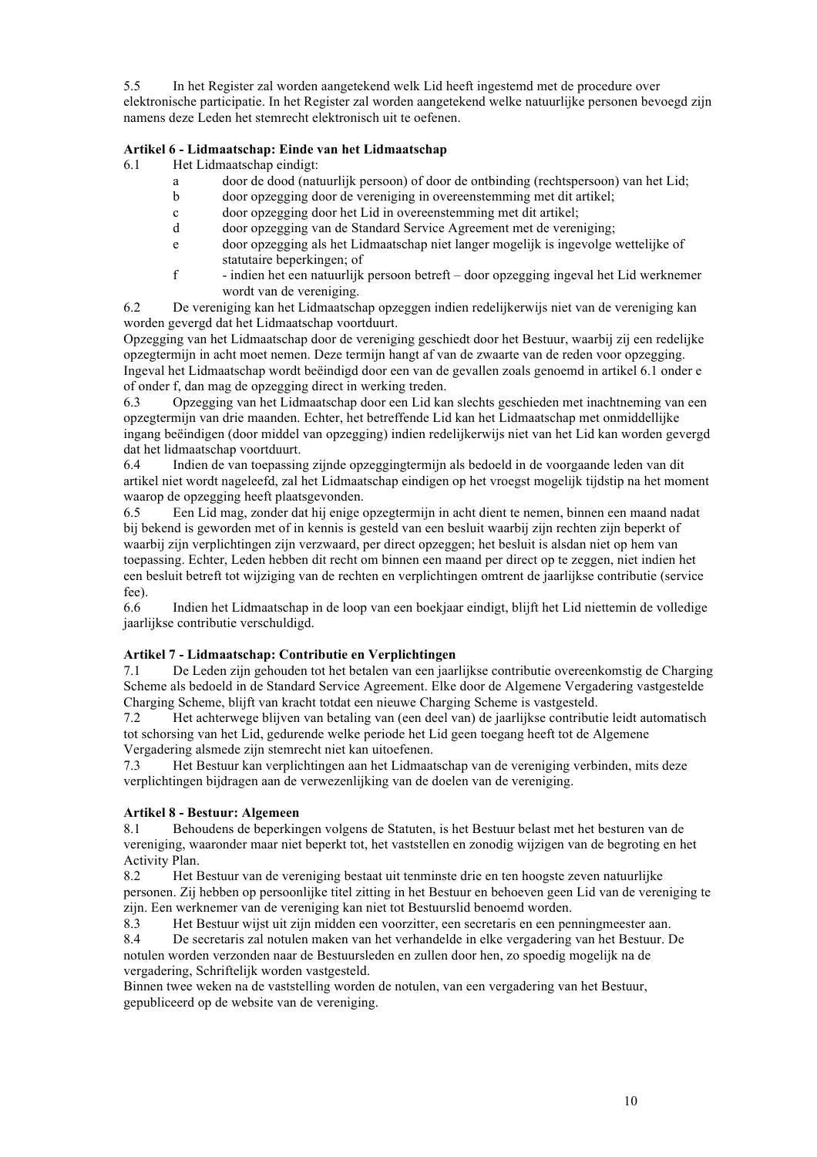5.5 In het Register zal worden aangetekend welk Lid heeft ingestemd met de procedure over elektronische participatie. In het Register zal worden aangetekend welke natuurlijke personen bevoegd zijn namens deze Leden het stemrecht elektronisch uit te oefenen.

# **Artikel 6 - Lidmaatschap: Einde van het Lidmaatschap**

6.1 Het Lidmaatschap eindigt:

- a door de dood (natuurlijk persoon) of door de ontbinding (rechtspersoon) van het Lid;
- b door opzegging door de vereniging in overeenstemming met dit artikel;
- c door opzegging door het Lid in overeenstemming met dit artikel;
- d door opzegging van de Standard Service Agreement met de vereniging;
- e door opzegging als het Lidmaatschap niet langer mogelijk is ingevolge wettelijke of statutaire beperkingen; of
- f indien het een natuurlijk persoon betreft door opzegging ingeval het Lid werknemer wordt van de vereniging.

6.2 De vereniging kan het Lidmaatschap opzeggen indien redelijkerwijs niet van de vereniging kan worden gevergd dat het Lidmaatschap voortduurt.

Opzegging van het Lidmaatschap door de vereniging geschiedt door het Bestuur, waarbij zij een redelijke opzegtermijn in acht moet nemen. Deze termijn hangt af van de zwaarte van de reden voor opzegging. Ingeval het Lidmaatschap wordt beëindigd door een van de gevallen zoals genoemd in artikel 6.1 onder e of onder f, dan mag de opzegging direct in werking treden.

6.3 Opzegging van het Lidmaatschap door een Lid kan slechts geschieden met inachtneming van een opzegtermijn van drie maanden. Echter, het betreffende Lid kan het Lidmaatschap met onmiddellijke ingang beëindigen (door middel van opzegging) indien redelijkerwijs niet van het Lid kan worden gevergd dat het lidmaatschap voortduurt.

6.4 Indien de van toepassing zijnde opzeggingtermijn als bedoeld in de voorgaande leden van dit artikel niet wordt nageleefd, zal het Lidmaatschap eindigen op het vroegst mogelijk tijdstip na het moment waarop de opzegging heeft plaatsgevonden.

6.5 Een Lid mag, zonder dat hij enige opzegtermijn in acht dient te nemen, binnen een maand nadat bij bekend is geworden met of in kennis is gesteld van een besluit waarbij zijn rechten zijn beperkt of waarbij zijn verplichtingen zijn verzwaard, per direct opzeggen; het besluit is alsdan niet op hem van toepassing. Echter, Leden hebben dit recht om binnen een maand per direct op te zeggen, niet indien het een besluit betreft tot wijziging van de rechten en verplichtingen omtrent de jaarlijkse contributie (service fee).

6.6 Indien het Lidmaatschap in de loop van een boekjaar eindigt, blijft het Lid niettemin de volledige jaarlijkse contributie verschuldigd.

# **Artikel 7 - Lidmaatschap: Contributie en Verplichtingen**

7.1 De Leden zijn gehouden tot het betalen van een jaarlijkse contributie overeenkomstig de Charging Scheme als bedoeld in de Standard Service Agreement. Elke door de Algemene Vergadering vastgestelde Charging Scheme, blijft van kracht totdat een nieuwe Charging Scheme is vastgesteld.

7.2 Het achterwege blijven van betaling van (een deel van) de jaarlijkse contributie leidt automatisch tot schorsing van het Lid, gedurende welke periode het Lid geen toegang heeft tot de Algemene

Vergadering alsmede zijn stemrecht niet kan uitoefenen.<br>7.3 Het Bestuur kan verplichtingen aan het Lidmaat 7.3 Het Bestuur kan verplichtingen aan het Lidmaatschap van de vereniging verbinden, mits deze verplichtingen bijdragen aan de verwezenlijking van de doelen van de vereniging.

### **Artikel 8 - Bestuur: Algemeen**

8.1 Behoudens de beperkingen volgens de Statuten, is het Bestuur belast met het besturen van de vereniging, waaronder maar niet beperkt tot, het vaststellen en zonodig wijzigen van de begroting en het Activity Plan.

8.2 Het Bestuur van de vereniging bestaat uit tenminste drie en ten hoogste zeven natuurlijke personen. Zij hebben op persoonlijke titel zitting in het Bestuur en behoeven geen Lid van de vereniging te zijn. Een werknemer van de vereniging kan niet tot Bestuurslid benoemd worden.

8.3 Het Bestuur wijst uit zijn midden een voorzitter, een secretaris en een penningmeester aan.

8.4 De secretaris zal notulen maken van het verhandelde in elke vergadering van het Bestuur. De notulen worden verzonden naar de Bestuursleden en zullen door hen, zo spoedig mogelijk na de vergadering, Schriftelijk worden vastgesteld.

Binnen twee weken na de vaststelling worden de notulen, van een vergadering van het Bestuur, gepubliceerd op de website van de vereniging.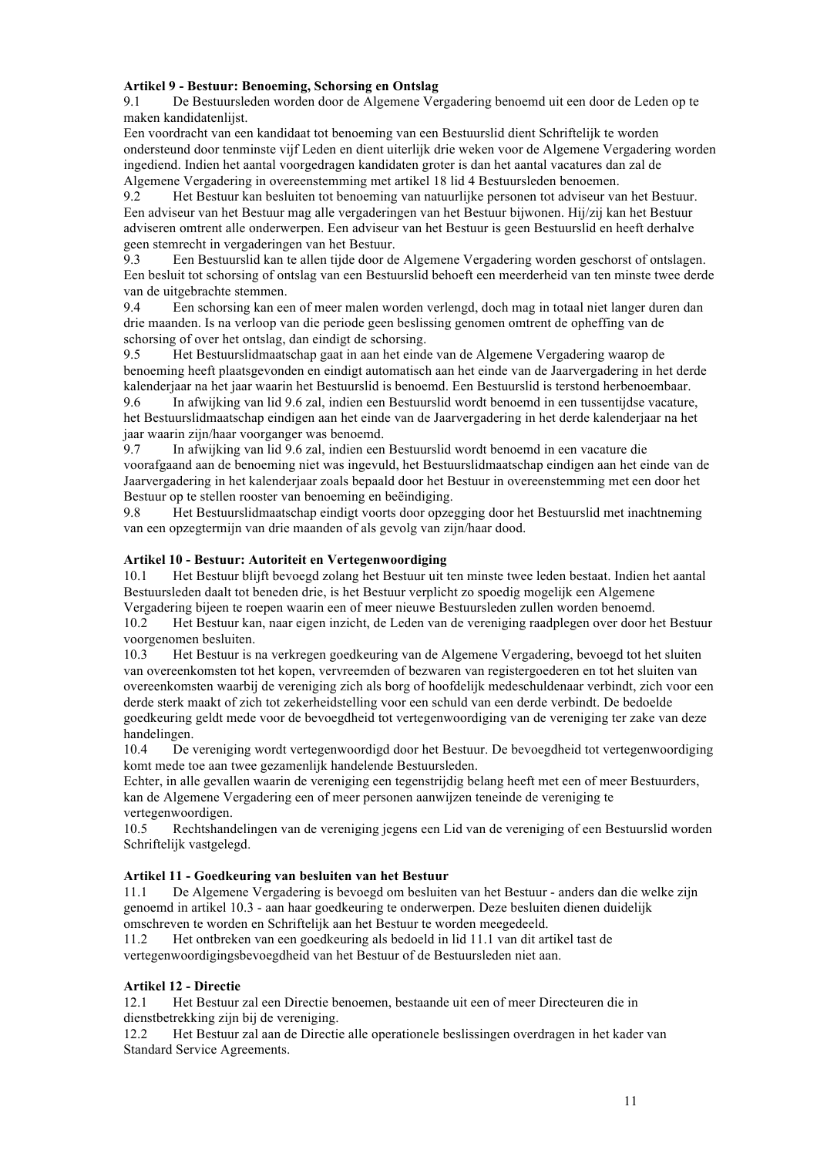# **Artikel 9 - Bestuur: Benoeming, Schorsing en Ontslag**

9.1 De Bestuursleden worden door de Algemene Vergadering benoemd uit een door de Leden op te maken kandidatenlijst.

Een voordracht van een kandidaat tot benoeming van een Bestuurslid dient Schriftelijk te worden ondersteund door tenminste vijf Leden en dient uiterlijk drie weken voor de Algemene Vergadering worden ingediend. Indien het aantal voorgedragen kandidaten groter is dan het aantal vacatures dan zal de Algemene Vergadering in overeenstemming met artikel 18 lid 4 Bestuursleden benoemen.

9.2 Het Bestuur kan besluiten tot benoeming van natuurlijke personen tot adviseur van het Bestuur. Een adviseur van het Bestuur mag alle vergaderingen van het Bestuur bijwonen. Hij/zij kan het Bestuur adviseren omtrent alle onderwerpen. Een adviseur van het Bestuur is geen Bestuurslid en heeft derhalve geen stemrecht in vergaderingen van het Bestuur.

9.3 Een Bestuurslid kan te allen tijde door de Algemene Vergadering worden geschorst of ontslagen. Een besluit tot schorsing of ontslag van een Bestuurslid behoeft een meerderheid van ten minste twee derde van de uitgebrachte stemmen.

9.4 Een schorsing kan een of meer malen worden verlengd, doch mag in totaal niet langer duren dan drie maanden. Is na verloop van die periode geen beslissing genomen omtrent de opheffing van de schorsing of over het ontslag, dan eindigt de schorsing.

9.5 Het Bestuurslidmaatschap gaat in aan het einde van de Algemene Vergadering waarop de benoeming heeft plaatsgevonden en eindigt automatisch aan het einde van de Jaarvergadering in het derde kalenderjaar na het jaar waarin het Bestuurslid is benoemd. Een Bestuurslid is terstond herbenoembaar.

9.6 In afwijking van lid 9.6 zal, indien een Bestuurslid wordt benoemd in een tussentijdse vacature, het Bestuurslidmaatschap eindigen aan het einde van de Jaarvergadering in het derde kalenderjaar na het jaar waarin zijn/haar voorganger was benoemd.

9.7 In afwijking van lid 9.6 zal, indien een Bestuurslid wordt benoemd in een vacature die voorafgaand aan de benoeming niet was ingevuld, het Bestuurslidmaatschap eindigen aan het einde van de Jaarvergadering in het kalenderjaar zoals bepaald door het Bestuur in overeenstemming met een door het Bestuur op te stellen rooster van benoeming en beëindiging.

9.8 Het Bestuurslidmaatschap eindigt voorts door opzegging door het Bestuurslid met inachtneming van een opzegtermijn van drie maanden of als gevolg van zijn/haar dood.

# **Artikel 10 - Bestuur: Autoriteit en Vertegenwoordiging**

10.1 Het Bestuur blijft bevoegd zolang het Bestuur uit ten minste twee leden bestaat. Indien het aantal Bestuursleden daalt tot beneden drie, is het Bestuur verplicht zo spoedig mogelijk een Algemene Vergadering bijeen te roepen waarin een of meer nieuwe Bestuursleden zullen worden benoemd.

10.2 Het Bestuur kan, naar eigen inzicht, de Leden van de vereniging raadplegen over door het Bestuur voorgenomen besluiten.

10.3 Het Bestuur is na verkregen goedkeuring van de Algemene Vergadering, bevoegd tot het sluiten van overeenkomsten tot het kopen, vervreemden of bezwaren van registergoederen en tot het sluiten van overeenkomsten waarbij de vereniging zich als borg of hoofdelijk medeschuldenaar verbindt, zich voor een derde sterk maakt of zich tot zekerheidstelling voor een schuld van een derde verbindt. De bedoelde goedkeuring geldt mede voor de bevoegdheid tot vertegenwoordiging van de vereniging ter zake van deze handelingen.

10.4 De vereniging wordt vertegenwoordigd door het Bestuur. De bevoegdheid tot vertegenwoordiging komt mede toe aan twee gezamenlijk handelende Bestuursleden.

Echter, in alle gevallen waarin de vereniging een tegenstrijdig belang heeft met een of meer Bestuurders, kan de Algemene Vergadering een of meer personen aanwijzen teneinde de vereniging te vertegenwoordigen.

10.5 Rechtshandelingen van de vereniging jegens een Lid van de vereniging of een Bestuurslid worden Schriftelijk vastgelegd.

### **Artikel 11 - Goedkeuring van besluiten van het Bestuur**

11.1 De Algemene Vergadering is bevoegd om besluiten van het Bestuur - anders dan die welke zijn genoemd in artikel 10.3 - aan haar goedkeuring te onderwerpen. Deze besluiten dienen duidelijk omschreven te worden en Schriftelijk aan het Bestuur te worden meegedeeld.

11.2 Het ontbreken van een goedkeuring als bedoeld in lid 11.1 van dit artikel tast de

vertegenwoordigingsbevoegdheid van het Bestuur of de Bestuursleden niet aan.

# **Artikel 12 - Directie**

12.1 Het Bestuur zal een Directie benoemen, bestaande uit een of meer Directeuren die in dienstbetrekking zijn bij de vereniging.

12.2 Het Bestuur zal aan de Directie alle operationele beslissingen overdragen in het kader van Standard Service Agreements.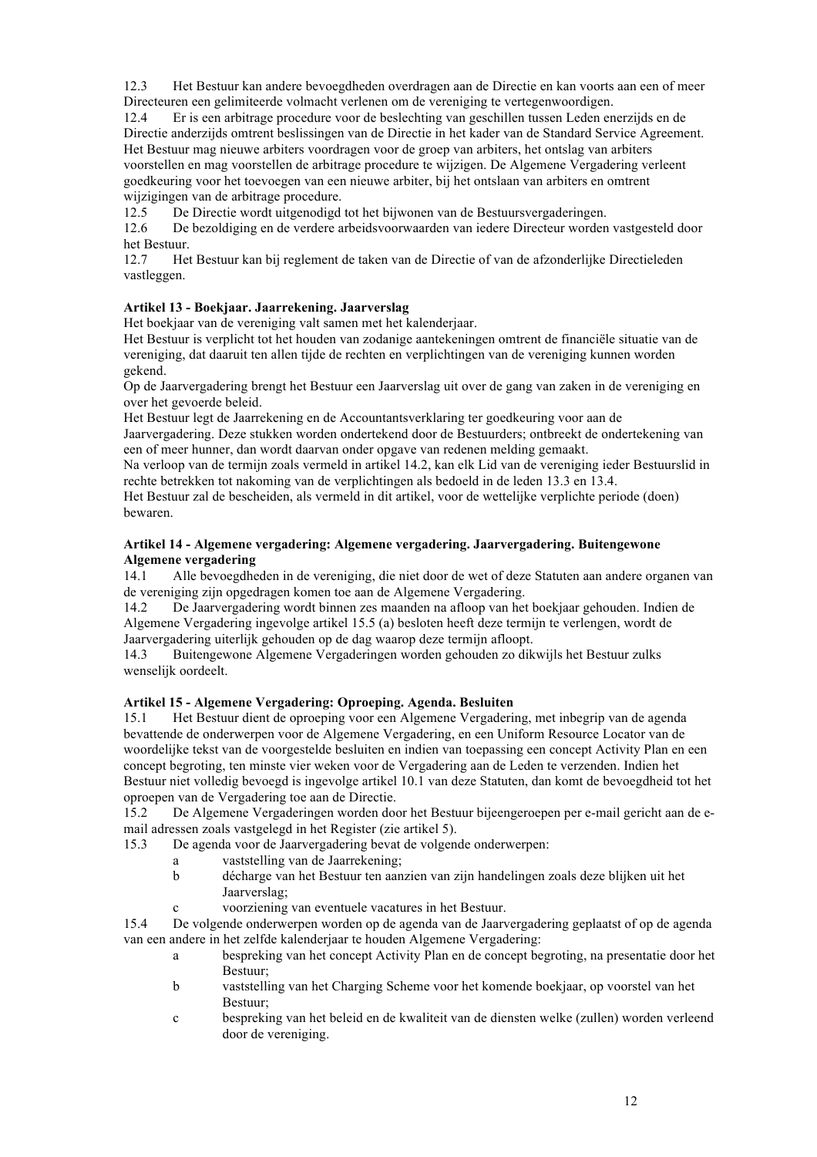12.3 Het Bestuur kan andere bevoegdheden overdragen aan de Directie en kan voorts aan een of meer Directeuren een gelimiteerde volmacht verlenen om de vereniging te vertegenwoordigen.

12.4 Er is een arbitrage procedure voor de beslechting van geschillen tussen Leden enerzijds en de Directie anderzijds omtrent beslissingen van de Directie in het kader van de Standard Service Agreement. Het Bestuur mag nieuwe arbiters voordragen voor de groep van arbiters, het ontslag van arbiters voorstellen en mag voorstellen de arbitrage procedure te wijzigen. De Algemene Vergadering verleent goedkeuring voor het toevoegen van een nieuwe arbiter, bij het ontslaan van arbiters en omtrent wijzigingen van de arbitrage procedure.

12.5 De Directie wordt uitgenodigd tot het bijwonen van de Bestuursvergaderingen.

12.6 De bezoldiging en de verdere arbeidsvoorwaarden van iedere Directeur worden vastgesteld door het Bestuur.

12.7 Het Bestuur kan bij reglement de taken van de Directie of van de afzonderlijke Directieleden vastleggen.

# **Artikel 13 - Boekjaar. Jaarrekening. Jaarverslag**

Het boekjaar van de vereniging valt samen met het kalenderjaar.

Het Bestuur is verplicht tot het houden van zodanige aantekeningen omtrent de financiële situatie van de vereniging, dat daaruit ten allen tijde de rechten en verplichtingen van de vereniging kunnen worden gekend.

Op de Jaarvergadering brengt het Bestuur een Jaarverslag uit over de gang van zaken in de vereniging en over het gevoerde beleid.

Het Bestuur legt de Jaarrekening en de Accountantsverklaring ter goedkeuring voor aan de Jaarvergadering. Deze stukken worden ondertekend door de Bestuurders; ontbreekt de ondertekening van een of meer hunner, dan wordt daarvan onder opgave van redenen melding gemaakt.

Na verloop van de termijn zoals vermeld in artikel 14.2, kan elk Lid van de vereniging ieder Bestuurslid in rechte betrekken tot nakoming van de verplichtingen als bedoeld in de leden 13.3 en 13.4.

Het Bestuur zal de bescheiden, als vermeld in dit artikel, voor de wettelijke verplichte periode (doen) bewaren.

# **Artikel 14 - Algemene vergadering: Algemene vergadering. Jaarvergadering. Buitengewone Algemene vergadering**

14.1 Alle bevoegdheden in de vereniging, die niet door de wet of deze Statuten aan andere organen van de vereniging zijn opgedragen komen toe aan de Algemene Vergadering.<br>14.2 De Jaarvergadering wordt binnen zes maanden na afloon van het

14.2 De Jaarvergadering wordt binnen zes maanden na afloop van het boekjaar gehouden. Indien de Algemene Vergadering ingevolge artikel 15.5 (a) besloten heeft deze termijn te verlengen, wordt de Jaarvergadering uiterlijk gehouden op de dag waarop deze termijn afloopt.

14.3 Buitengewone Algemene Vergaderingen worden gehouden zo dikwijls het Bestuur zulks wenselijk oordeelt.

### **Artikel 15 - Algemene Vergadering: Oproeping. Agenda. Besluiten**

15.1 Het Bestuur dient de oproeping voor een Algemene Vergadering, met inbegrip van de agenda bevattende de onderwerpen voor de Algemene Vergadering, en een Uniform Resource Locator van de woordelijke tekst van de voorgestelde besluiten en indien van toepassing een concept Activity Plan en een concept begroting, ten minste vier weken voor de Vergadering aan de Leden te verzenden. Indien het Bestuur niet volledig bevoegd is ingevolge artikel 10.1 van deze Statuten, dan komt de bevoegdheid tot het oproepen van de Vergadering toe aan de Directie.

15.2 De Algemene Vergaderingen worden door het Bestuur bijeengeroepen per e-mail gericht aan de email adressen zoals vastgelegd in het Register (zie artikel 5).

- 15.3 De agenda voor de Jaarvergadering bevat de volgende onderwerpen:
	- a vaststelling van de Jaarrekening;
	- b décharge van het Bestuur ten aanzien van zijn handelingen zoals deze blijken uit het Jaarverslag;
	- c voorziening van eventuele vacatures in het Bestuur.

15.4 De volgende onderwerpen worden op de agenda van de Jaarvergadering geplaatst of op de agenda van een andere in het zelfde kalenderjaar te houden Algemene Vergadering:

- a bespreking van het concept Activity Plan en de concept begroting, na presentatie door het Bestuur;
- b vaststelling van het Charging Scheme voor het komende boekjaar, op voorstel van het Bestuur;
- c bespreking van het beleid en de kwaliteit van de diensten welke (zullen) worden verleend door de vereniging.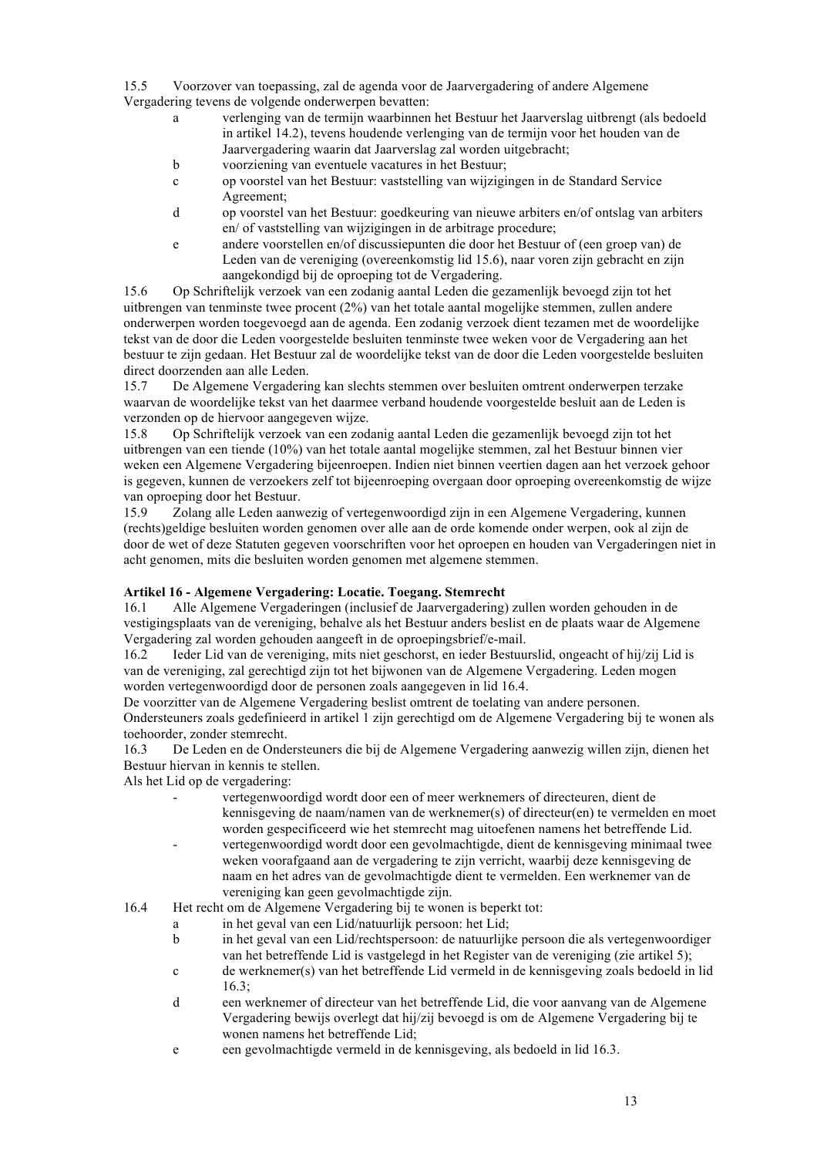15.5 Voorzover van toepassing, zal de agenda voor de Jaarvergadering of andere Algemene Vergadering tevens de volgende onderwerpen bevatten:

- a verlenging van de termijn waarbinnen het Bestuur het Jaarverslag uitbrengt (als bedoeld in artikel 14.2), tevens houdende verlenging van de termijn voor het houden van de Jaarvergadering waarin dat Jaarverslag zal worden uitgebracht;
- b voorziening van eventuele vacatures in het Bestuur;
- c op voorstel van het Bestuur: vaststelling van wijzigingen in de Standard Service Agreement;
- d op voorstel van het Bestuur: goedkeuring van nieuwe arbiters en/of ontslag van arbiters en/ of vaststelling van wijzigingen in de arbitrage procedure;
- e andere voorstellen en/of discussiepunten die door het Bestuur of (een groep van) de Leden van de vereniging (overeenkomstig lid 15.6), naar voren zijn gebracht en zijn aangekondigd bij de oproeping tot de Vergadering.

15.6 Op Schriftelijk verzoek van een zodanig aantal Leden die gezamenlijk bevoegd zijn tot het uitbrengen van tenminste twee procent (2%) van het totale aantal mogelijke stemmen, zullen andere onderwerpen worden toegevoegd aan de agenda. Een zodanig verzoek dient tezamen met de woordelijke tekst van de door die Leden voorgestelde besluiten tenminste twee weken voor de Vergadering aan het bestuur te zijn gedaan. Het Bestuur zal de woordelijke tekst van de door die Leden voorgestelde besluiten direct doorzenden aan alle Leden.

15.7 De Algemene Vergadering kan slechts stemmen over besluiten omtrent onderwerpen terzake waarvan de woordelijke tekst van het daarmee verband houdende voorgestelde besluit aan de Leden is verzonden op de hiervoor aangegeven wijze.

15.8 Op Schriftelijk verzoek van een zodanig aantal Leden die gezamenlijk bevoegd zijn tot het uitbrengen van een tiende (10%) van het totale aantal mogelijke stemmen, zal het Bestuur binnen vier weken een Algemene Vergadering bijeenroepen. Indien niet binnen veertien dagen aan het verzoek gehoor is gegeven, kunnen de verzoekers zelf tot bijeenroeping overgaan door oproeping overeenkomstig de wijze van oproeping door het Bestuur.

15.9 Zolang alle Leden aanwezig of vertegenwoordigd zijn in een Algemene Vergadering, kunnen (rechts)geldige besluiten worden genomen over alle aan de orde komende onder werpen, ook al zijn de door de wet of deze Statuten gegeven voorschriften voor het oproepen en houden van Vergaderingen niet in acht genomen, mits die besluiten worden genomen met algemene stemmen.

# **Artikel 16 - Algemene Vergadering: Locatie. Toegang. Stemrecht**

16.1 Alle Algemene Vergaderingen (inclusief de Jaarvergadering) zullen worden gehouden in de vestigingsplaats van de vereniging, behalve als het Bestuur anders beslist en de plaats waar de Algemene Vergadering zal worden gehouden aangeeft in de oproepingsbrief/e-mail.

16.2 Ieder Lid van de vereniging, mits niet geschorst, en ieder Bestuurslid, ongeacht of hij/zij Lid is van de vereniging, zal gerechtigd zijn tot het bijwonen van de Algemene Vergadering. Leden mogen worden vertegenwoordigd door de personen zoals aangegeven in lid 16.4.

De voorzitter van de Algemene Vergadering beslist omtrent de toelating van andere personen. Ondersteuners zoals gedefinieerd in artikel 1 zijn gerechtigd om de Algemene Vergadering bij te wonen als toehoorder, zonder stemrecht.

16.3 De Leden en de Ondersteuners die bij de Algemene Vergadering aanwezig willen zijn, dienen het Bestuur hiervan in kennis te stellen.

Als het Lid op de vergadering:

- vertegenwoordigd wordt door een of meer werknemers of directeuren, dient de kennisgeving de naam/namen van de werknemer(s) of directeur(en) te vermelden en moet worden gespecificeerd wie het stemrecht mag uitoefenen namens het betreffende Lid.
- vertegenwoordigd wordt door een gevolmachtigde, dient de kennisgeving minimaal twee weken voorafgaand aan de vergadering te zijn verricht, waarbij deze kennisgeving de naam en het adres van de gevolmachtigde dient te vermelden. Een werknemer van de vereniging kan geen gevolmachtigde zijn.
- 16.4 Het recht om de Algemene Vergadering bij te wonen is beperkt tot:
	- a in het geval van een Lid/natuurlijk persoon: het Lid;
	- b in het geval van een Lid/rechtspersoon: de natuurlijke persoon die als vertegenwoordiger van het betreffende Lid is vastgelegd in het Register van de vereniging (zie artikel 5);
	- c de werknemer(s) van het betreffende Lid vermeld in de kennisgeving zoals bedoeld in lid 16.3;
	- d een werknemer of directeur van het betreffende Lid, die voor aanvang van de Algemene Vergadering bewijs overlegt dat hij/zij bevoegd is om de Algemene Vergadering bij te wonen namens het betreffende Lid;
	- e een gevolmachtigde vermeld in de kennisgeving, als bedoeld in lid 16.3.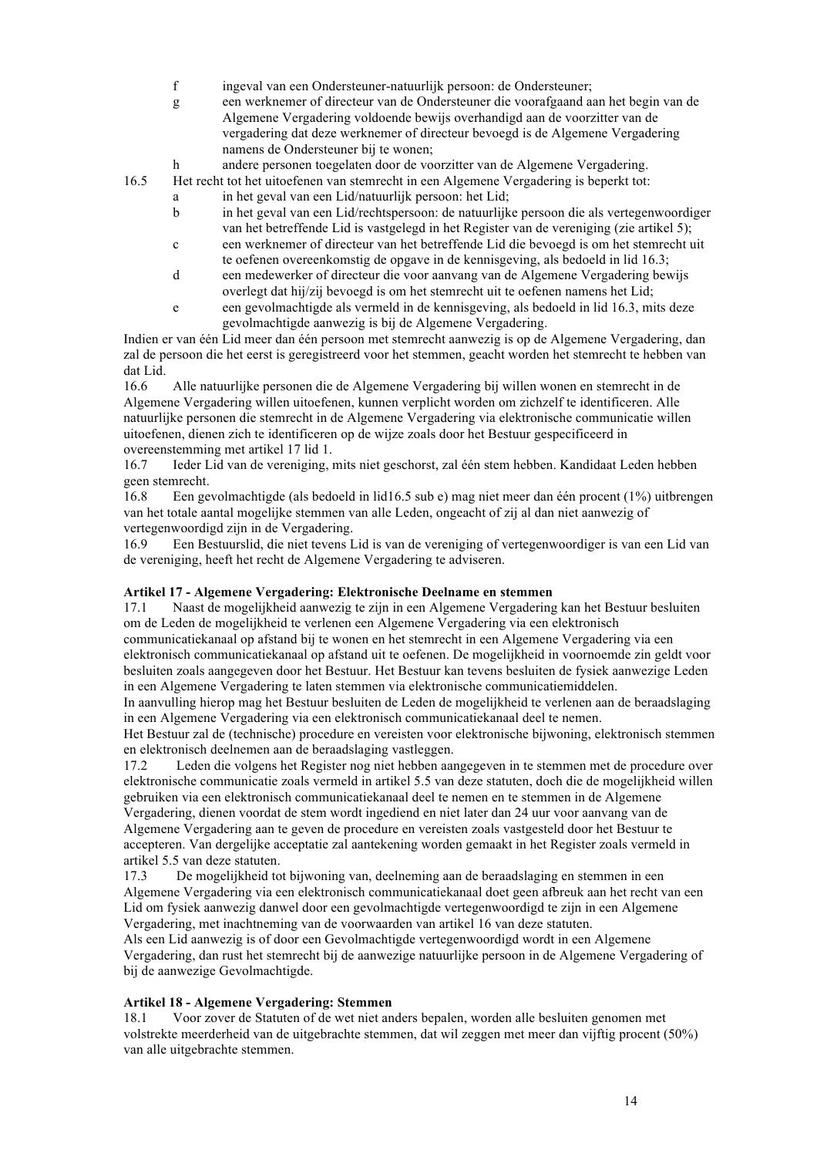- f ingeval van een Ondersteuner-natuurlijk persoon: de Ondersteuner;
- g een werknemer of directeur van de Ondersteuner die voorafgaand aan het begin van de Algemene Vergadering voldoende bewijs overhandigd aan de voorzitter van de vergadering dat deze werknemer of directeur bevoegd is de Algemene Vergadering namens de Ondersteuner bij te wonen;
- h andere personen toegelaten door de voorzitter van de Algemene Vergadering.
- 16.5 Het recht tot het uitoefenen van stemrecht in een Algemene Vergadering is beperkt tot:
	- a in het geval van een Lid/natuurlijk persoon: het Lid;
		- b in het geval van een Lid/rechtspersoon: de natuurlijke persoon die als vertegenwoordiger van het betreffende Lid is vastgelegd in het Register van de vereniging (zie artikel 5);
		- c een werknemer of directeur van het betreffende Lid die bevoegd is om het stemrecht uit te oefenen overeenkomstig de opgave in de kennisgeving, als bedoeld in lid 16.3;
		- d een medewerker of directeur die voor aanvang van de Algemene Vergadering bewijs overlegt dat hij/zij bevoegd is om het stemrecht uit te oefenen namens het Lid;
		- e een gevolmachtigde als vermeld in de kennisgeving, als bedoeld in lid 16.3, mits deze gevolmachtigde aanwezig is bij de Algemene Vergadering.

Indien er van één Lid meer dan één persoon met stemrecht aanwezig is op de Algemene Vergadering, dan zal de persoon die het eerst is geregistreerd voor het stemmen, geacht worden het stemrecht te hebben van dat Lid.

16.6 Alle natuurlijke personen die de Algemene Vergadering bij willen wonen en stemrecht in de Algemene Vergadering willen uitoefenen, kunnen verplicht worden om zichzelf te identificeren. Alle natuurlijke personen die stemrecht in de Algemene Vergadering via elektronische communicatie willen uitoefenen, dienen zich te identificeren op de wijze zoals door het Bestuur gespecificeerd in overeenstemming met artikel 17 lid 1.

16.7 Ieder Lid van de vereniging, mits niet geschorst, zal één stem hebben. Kandidaat Leden hebben geen stemrecht.

16.8 Een gevolmachtigde (als bedoeld in lid16.5 sub e) mag niet meer dan één procent (1%) uitbrengen van het totale aantal mogelijke stemmen van alle Leden, ongeacht of zij al dan niet aanwezig of vertegenwoordigd zijn in de Vergadering.

16.9 Een Bestuurslid, die niet tevens Lid is van de vereniging of vertegenwoordiger is van een Lid van de vereniging, heeft het recht de Algemene Vergadering te adviseren.

### **Artikel 17 - Algemene Vergadering: Elektronische Deelname en stemmen**

17.1 Naast de mogelijkheid aanwezig te zijn in een Algemene Vergadering kan het Bestuur besluiten om de Leden de mogelijkheid te verlenen een Algemene Vergadering via een elektronisch communicatiekanaal op afstand bij te wonen en het stemrecht in een Algemene Vergadering via een elektronisch communicatiekanaal op afstand uit te oefenen. De mogelijkheid in voornoemde zin geldt voor besluiten zoals aangegeven door het Bestuur. Het Bestuur kan tevens besluiten de fysiek aanwezige Leden in een Algemene Vergadering te laten stemmen via elektronische communicatiemiddelen.

In aanvulling hierop mag het Bestuur besluiten de Leden de mogelijkheid te verlenen aan de beraadslaging in een Algemene Vergadering via een elektronisch communicatiekanaal deel te nemen.

Het Bestuur zal de (technische) procedure en vereisten voor elektronische bijwoning, elektronisch stemmen en elektronisch deelnemen aan de beraadslaging vastleggen.

17.2 Leden die volgens het Register nog niet hebben aangegeven in te stemmen met de procedure over elektronische communicatie zoals vermeld in artikel 5.5 van deze statuten, doch die de mogelijkheid willen gebruiken via een elektronisch communicatiekanaal deel te nemen en te stemmen in de Algemene Vergadering, dienen voordat de stem wordt ingediend en niet later dan 24 uur voor aanvang van de Algemene Vergadering aan te geven de procedure en vereisten zoals vastgesteld door het Bestuur te

accepteren. Van dergelijke acceptatie zal aantekening worden gemaakt in het Register zoals vermeld in artikel 5.5 van deze statuten.

17.3 De mogelijkheid tot bijwoning van, deelneming aan de beraadslaging en stemmen in een Algemene Vergadering via een elektronisch communicatiekanaal doet geen afbreuk aan het recht van een Lid om fysiek aanwezig danwel door een gevolmachtigde vertegenwoordigd te zijn in een Algemene Vergadering, met inachtneming van de voorwaarden van artikel 16 van deze statuten.

Als een Lid aanwezig is of door een Gevolmachtigde vertegenwoordigd wordt in een Algemene Vergadering, dan rust het stemrecht bij de aanwezige natuurlijke persoon in de Algemene Vergadering of bij de aanwezige Gevolmachtigde.

# **Artikel 18 - Algemene Vergadering: Stemmen**

18.1 Voor zover de Statuten of de wet niet anders bepalen, worden alle besluiten genomen met volstrekte meerderheid van de uitgebrachte stemmen, dat wil zeggen met meer dan vijftig procent (50%) van alle uitgebrachte stemmen.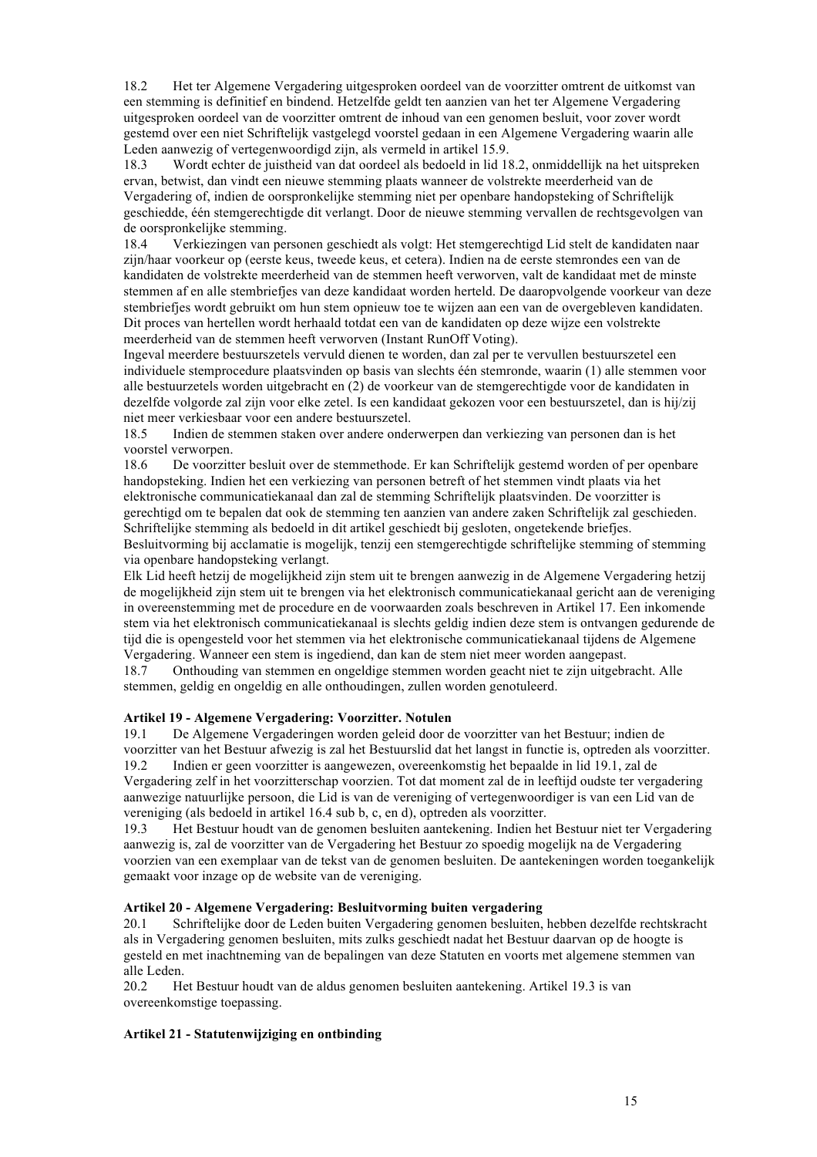18.2 Het ter Algemene Vergadering uitgesproken oordeel van de voorzitter omtrent de uitkomst van een stemming is definitief en bindend. Hetzelfde geldt ten aanzien van het ter Algemene Vergadering uitgesproken oordeel van de voorzitter omtrent de inhoud van een genomen besluit, voor zover wordt gestemd over een niet Schriftelijk vastgelegd voorstel gedaan in een Algemene Vergadering waarin alle Leden aanwezig of vertegenwoordigd zijn, als vermeld in artikel 15.9.

18.3 Wordt echter de juistheid van dat oordeel als bedoeld in lid 18.2, onmiddellijk na het uitspreken ervan, betwist, dan vindt een nieuwe stemming plaats wanneer de volstrekte meerderheid van de Vergadering of, indien de oorspronkelijke stemming niet per openbare handopsteking of Schriftelijk geschiedde, één stemgerechtigde dit verlangt. Door de nieuwe stemming vervallen de rechtsgevolgen van de oorspronkelijke stemming.

18.4 Verkiezingen van personen geschiedt als volgt: Het stemgerechtigd Lid stelt de kandidaten naar zijn/haar voorkeur op (eerste keus, tweede keus, et cetera). Indien na de eerste stemrondes een van de kandidaten de volstrekte meerderheid van de stemmen heeft verworven, valt de kandidaat met de minste stemmen af en alle stembriefjes van deze kandidaat worden herteld. De daaropvolgende voorkeur van deze stembriefjes wordt gebruikt om hun stem opnieuw toe te wijzen aan een van de overgebleven kandidaten. Dit proces van hertellen wordt herhaald totdat een van de kandidaten op deze wijze een volstrekte meerderheid van de stemmen heeft verworven (Instant RunOff Voting).

Ingeval meerdere bestuurszetels vervuld dienen te worden, dan zal per te vervullen bestuurszetel een individuele stemprocedure plaatsvinden op basis van slechts één stemronde, waarin (1) alle stemmen voor alle bestuurzetels worden uitgebracht en (2) de voorkeur van de stemgerechtigde voor de kandidaten in dezelfde volgorde zal zijn voor elke zetel. Is een kandidaat gekozen voor een bestuurszetel, dan is hij/zij niet meer verkiesbaar voor een andere bestuurszetel.

18.5 Indien de stemmen staken over andere onderwerpen dan verkiezing van personen dan is het voorstel verworpen.<br>18.6 De voorzitt

18.6 De voorzitter besluit over de stemmethode. Er kan Schriftelijk gestemd worden of per openbare handopsteking. Indien het een verkiezing van personen betreft of het stemmen vindt plaats via het elektronische communicatiekanaal dan zal de stemming Schriftelijk plaatsvinden. De voorzitter is gerechtigd om te bepalen dat ook de stemming ten aanzien van andere zaken Schriftelijk zal geschieden. Schriftelijke stemming als bedoeld in dit artikel geschiedt bij gesloten, ongetekende briefjes.

Besluitvorming bij acclamatie is mogelijk, tenzij een stemgerechtigde schriftelijke stemming of stemming via openbare handopsteking verlangt.

Elk Lid heeft hetzij de mogelijkheid zijn stem uit te brengen aanwezig in de Algemene Vergadering hetzij de mogelijkheid zijn stem uit te brengen via het elektronisch communicatiekanaal gericht aan de vereniging in overeenstemming met de procedure en de voorwaarden zoals beschreven in Artikel 17. Een inkomende stem via het elektronisch communicatiekanaal is slechts geldig indien deze stem is ontvangen gedurende de tijd die is opengesteld voor het stemmen via het elektronische communicatiekanaal tijdens de Algemene Vergadering. Wanneer een stem is ingediend, dan kan de stem niet meer worden aangepast.

18.7 Onthouding van stemmen en ongeldige stemmen worden geacht niet te zijn uitgebracht. Alle stemmen, geldig en ongeldig en alle onthoudingen, zullen worden genotuleerd.

### **Artikel 19 - Algemene Vergadering: Voorzitter. Notulen**

19.1 De Algemene Vergaderingen worden geleid door de voorzitter van het Bestuur; indien de voorzitter van het Bestuur afwezig is zal het Bestuurslid dat het langst in functie is, optreden als voorzitter.<br>19.2 Indien er geen voorzitter is aangewezen, overeenkomstig het benaalde in lid 191 zal de 19.2 Indien er geen voorzitter is aangewezen, overeenkomstig het bepaalde in lid 19.1, zal de Vergadering zelf in het voorzitterschap voorzien. Tot dat moment zal de in leeftijd oudste ter vergadering aanwezige natuurlijke persoon, die Lid is van de vereniging of vertegenwoordiger is van een Lid van de vereniging (als bedoeld in artikel 16.4 sub b, c, en d), optreden als voorzitter.

19.3 Het Bestuur houdt van de genomen besluiten aantekening. Indien het Bestuur niet ter Vergadering aanwezig is, zal de voorzitter van de Vergadering het Bestuur zo spoedig mogelijk na de Vergadering voorzien van een exemplaar van de tekst van de genomen besluiten. De aantekeningen worden toegankelijk gemaakt voor inzage op de website van de vereniging.

#### **Artikel 20 - Algemene Vergadering: Besluitvorming buiten vergadering**

20.1 Schriftelijke door de Leden buiten Vergadering genomen besluiten, hebben dezelfde rechtskracht als in Vergadering genomen besluiten, mits zulks geschiedt nadat het Bestuur daarvan op de hoogte is gesteld en met inachtneming van de bepalingen van deze Statuten en voorts met algemene stemmen van alle Leden.

20.2 Het Bestuur houdt van de aldus genomen besluiten aantekening. Artikel 19.3 is van overeenkomstige toepassing.

### **Artikel 21 - Statutenwijziging en ontbinding**